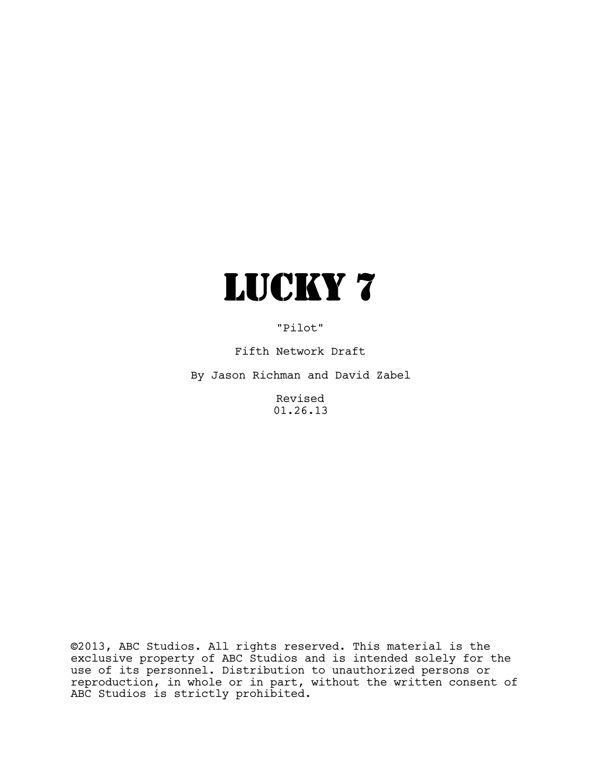

"Pilot"

Fifth Network Draft

By Jason Richman and David Zabel

Revised 01.26.13

©2013, ABC Studios. All rights reserved. This material is the exclusive property of ABC Studios and is intended solely for the use of its personnel. Distribution to unauthorized persons or reproduction, in whole or in part, without the written consent of ABC Studios is strictly prohibited.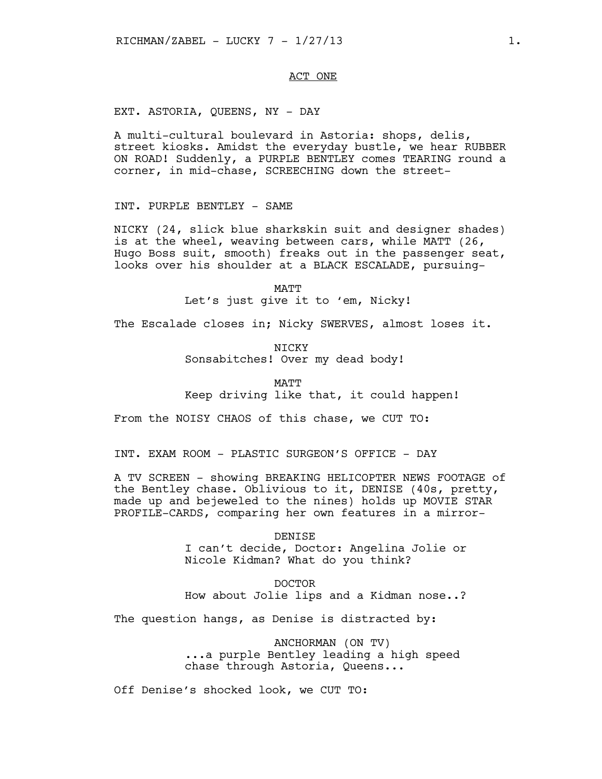## ACT ONE

EXT. ASTORIA, QUEENS, NY - DAY

A multi-cultural boulevard in Astoria: shops, delis, street kiosks. Amidst the everyday bustle, we hear RUBBER ON ROAD! Suddenly, a PURPLE BENTLEY comes TEARING round a corner, in mid-chase, SCREECHING down the street-

INT. PURPLE BENTLEY - SAME

NICKY (24, slick blue sharkskin suit and designer shades) is at the wheel, weaving between cars, while MATT (26, Hugo Boss suit, smooth) freaks out in the passenger seat, looks over his shoulder at a BLACK ESCALADE, pursuing-

> MATT Let's just give it to 'em, Nicky!

The Escalade closes in; Nicky SWERVES, almost loses it.

NICKY Sonsabitches! Over my dead body!

**MATT** Keep driving like that, it could happen!

From the NOISY CHAOS of this chase, we CUT TO:

INT. EXAM ROOM - PLASTIC SURGEON'S OFFICE - DAY

A TV SCREEN - showing BREAKING HELICOPTER NEWS FOOTAGE of the Bentley chase. Oblivious to it, DENISE (40s, pretty, made up and bejeweled to the nines) holds up MOVIE STAR PROFILE-CARDS, comparing her own features in a mirror-

#### DENISE

I can't decide, Doctor: Angelina Jolie or Nicole Kidman? What do you think?

DOCTOR How about Jolie lips and a Kidman nose..?

The question hangs, as Denise is distracted by:

ANCHORMAN (ON TV) ...a purple Bentley leading a high speed chase through Astoria, Queens...

Off Denise's shocked look, we CUT TO: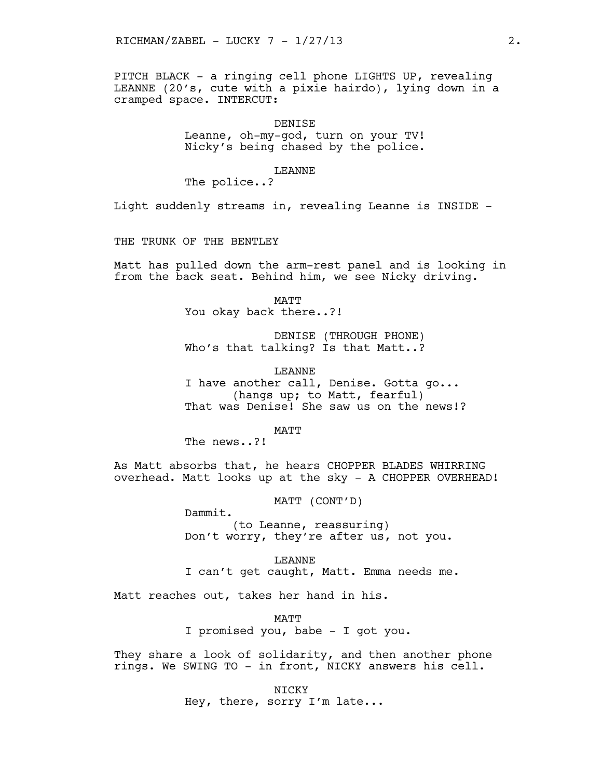PITCH BLACK - a ringing cell phone LIGHTS UP, revealing LEANNE (20's, cute with a pixie hairdo), lying down in a cramped space. INTERCUT:

> DENISE Leanne, oh-my-god, turn on your TV! Nicky's being chased by the police.

## LEANNE

The police..?

Light suddenly streams in, revealing Leanne is INSIDE -

THE TRUNK OF THE BENTLEY

Matt has pulled down the arm-rest panel and is looking in from the back seat. Behind him, we see Nicky driving.

> MATT You okay back there..?!

DENISE (THROUGH PHONE) Who's that talking? Is that Matt..?

LEANNE

I have another call, Denise. Gotta go... (hangs up; to Matt, fearful) That was Denise! She saw us on the news!?

MATT

The news..?!

As Matt absorbs that, he hears CHOPPER BLADES WHIRRING overhead. Matt looks up at the sky - A CHOPPER OVERHEAD!

MATT (CONT'D)

Dammit. (to Leanne, reassuring) Don't worry, they're after us, not you.

LEANNE I can't get caught, Matt. Emma needs me.

Matt reaches out, takes her hand in his.

MATT I promised you, babe - I got you.

They share a look of solidarity, and then another phone rings. We SWING TO - in front, NICKY answers his cell.

> NICKY Hey, there, sorry I'm late...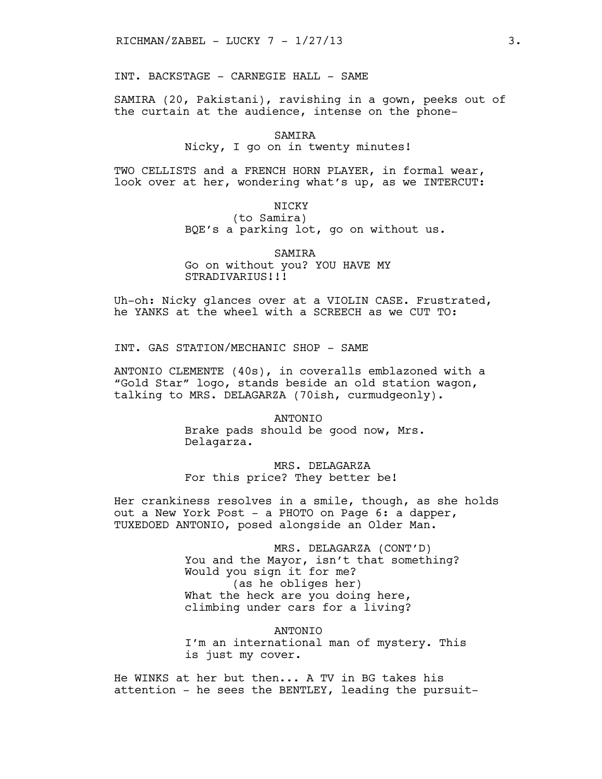INT. BACKSTAGE - CARNEGIE HALL - SAME

SAMIRA (20, Pakistani), ravishing in a gown, peeks out of the curtain at the audience, intense on the phone-

SAMIRA

### Nicky, I go on in twenty minutes!

TWO CELLISTS and a FRENCH HORN PLAYER, in formal wear, look over at her, wondering what's up, as we INTERCUT:

NICKY

(to Samira) BQE's a parking lot, go on without us.

SAMIRA Go on without you? YOU HAVE MY STRADIVARIUS!!!

Uh-oh: Nicky glances over at a VIOLIN CASE. Frustrated, he YANKS at the wheel with a SCREECH as we CUT TO:

INT. GAS STATION/MECHANIC SHOP - SAME

ANTONIO CLEMENTE (40s), in coveralls emblazoned with a "Gold Star" logo, stands beside an old station wagon, talking to MRS. DELAGARZA (70ish, curmudgeonly).

> ANTONIO Brake pads should be good now, Mrs. Delagarza.

MRS. DELAGARZA For this price? They better be!

Her crankiness resolves in a smile, though, as she holds out a New York Post - a PHOTO on Page 6: a dapper, TUXEDOED ANTONIO, posed alongside an Older Man.

> MRS. DELAGARZA (CONT'D) You and the Mayor, isn't that something? Would you sign it for me? (as he obliges her) What the heck are you doing here, climbing under cars for a living?

ANTONIO I'm an international man of mystery. This is just my cover.

He WINKS at her but then... A TV in BG takes his attention - he sees the BENTLEY, leading the pursuit-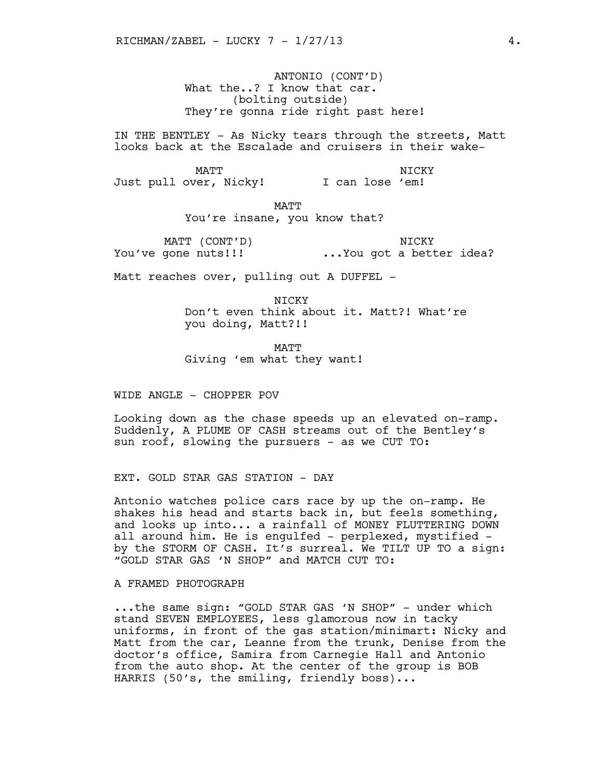ANTONIO (CONT'D) What the..? I know that car. (bolting outside) They're gonna ride right past here!

IN THE BENTLEY - As Nicky tears through the streets, Matt looks back at the Escalade and cruisers in their wake-

MATT NICKY Just pull over, Nicky! \* I can lose 'em! NICKY

MATT

You're insane, you know that?

MATT (CONT'D) \* You've gone nuts!!! ...You got a better idea? **NTCKY** 

Matt reaches over, pulling out A DUFFEL -

NICKY Don't even think about it. Matt?! What're you doing, Matt?!!

MATT Giving 'em what they want!

WIDE ANGLE - CHOPPER POV

Looking down as the chase speeds up an elevated on-ramp. Suddenly, A PLUME OF CASH streams out of the Bentley's sun roof, slowing the pursuers - as we CUT TO:

EXT. GOLD STAR GAS STATION - DAY

Antonio watches police cars race by up the on-ramp. He shakes his head and starts back in, but feels something, and looks up into... a rainfall of MONEY FLUTTERING DOWN all around him. He is engulfed - perplexed, mystified by the STORM OF CASH. It's surreal. We TILT UP TO a sign: "GOLD STAR GAS 'N SHOP" and MATCH CUT TO:

A FRAMED PHOTOGRAPH

...the same sign: "GOLD STAR GAS 'N SHOP" - under which stand SEVEN EMPLOYEES, less glamorous now in tacky uniforms, in front of the gas station/minimart: Nicky and Matt from the car, Leanne from the trunk, Denise from the doctor's office, Samira from Carnegie Hall and Antonio from the auto shop. At the center of the group is BOB HARRIS (50's, the smiling, friendly boss)...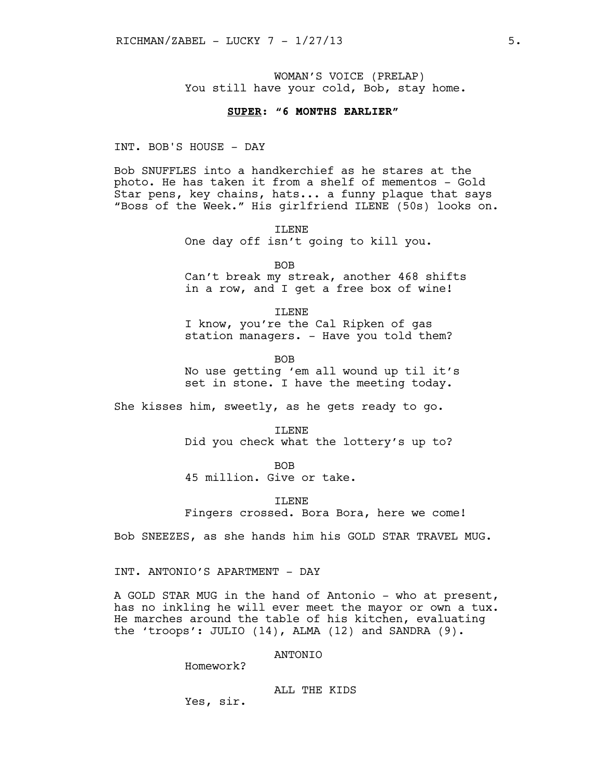WOMAN'S VOICE (PRELAP) You still have your cold, Bob, stay home.

## **SUPER: "6 MONTHS EARLIER"**

INT. BOB'S HOUSE - DAY

Bob SNUFFLES into a handkerchief as he stares at the photo. He has taken it from a shelf of mementos - Gold Star pens, key chains, hats... a funny plaque that says "Boss of the Week." His girlfriend ILENE (50s) looks on.

> TLENE One day off isn't going to kill you.

BOB Can't break my streak, another 468 shifts in a row, and I get a free box of wine!

ILENE I know, you're the Cal Ripken of gas station managers. - Have you told them?

BOB No use getting 'em all wound up til it's set in stone. I have the meeting today.

She kisses him, sweetly, as he gets ready to go.

ILENE Did you check what the lottery's up to?

BOB

45 million. Give or take.

ILENE Fingers crossed. Bora Bora, here we come!

Bob SNEEZES, as she hands him his GOLD STAR TRAVEL MUG.

INT. ANTONIO'S APARTMENT - DAY

A GOLD STAR MUG in the hand of Antonio - who at present, has no inkling he will ever meet the mayor or own a tux. He marches around the table of his kitchen, evaluating the 'troops': JULIO (14), ALMA (12) and SANDRA (9).

ANTONIO

Homework?

ALL THE KIDS

Yes, sir.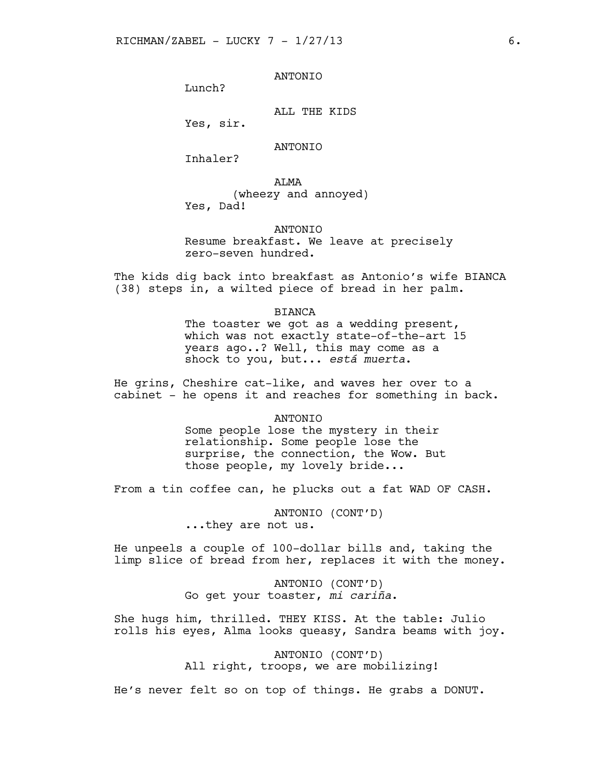# ANTONIO

Lunch?

ALL THE KIDS

Yes, sir.

## ANTONIO

Inhaler?

ALMA (wheezy and annoyed) Yes, Dad!

# ANTONIO

Resume breakfast. We leave at precisely zero-seven hundred.

The kids dig back into breakfast as Antonio's wife BIANCA (38) steps in, a wilted piece of bread in her palm.

### BIANCA

The toaster we got as a wedding present, which was not exactly state-of-the-art 15 years ago..? Well, this may come as a shock to you, but... *está muerta*.

He grins, Cheshire cat-like, and waves her over to a cabinet - he opens it and reaches for something in back.

#### **ANTONIO**

Some people lose the mystery in their relationship. Some people lose the surprise, the connection, the Wow. But those people, my lovely bride...

From a tin coffee can, he plucks out a fat WAD OF CASH.

ANTONIO (CONT'D) ...they are not us.

He unpeels a couple of 100-dollar bills and, taking the limp slice of bread from her, replaces it with the money.

> ANTONIO (CONT'D) Go get your toaster, *mi cariña*.

She hugs him, thrilled. THEY KISS. At the table: Julio rolls his eyes, Alma looks queasy, Sandra beams with joy.

> ANTONIO (CONT'D) All right, troops, we are mobilizing!

He's never felt so on top of things. He grabs a DONUT.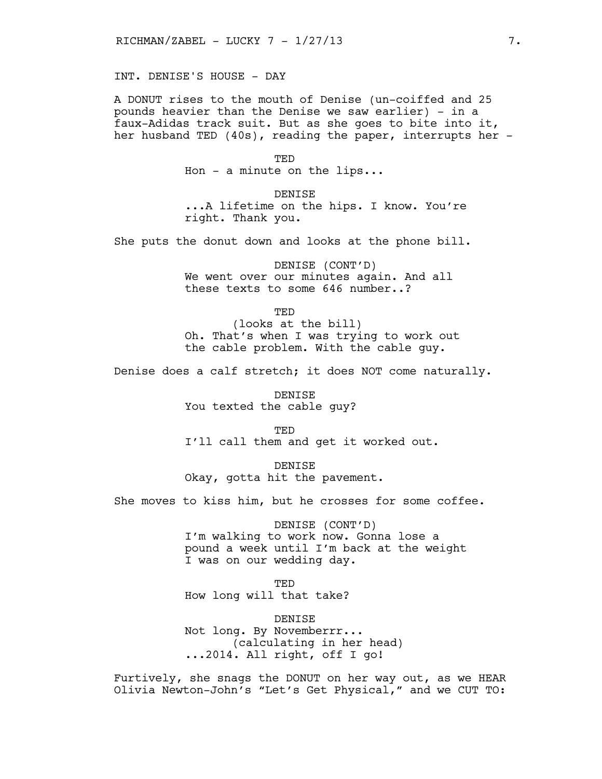INT. DENISE'S HOUSE - DAY

A DONUT rises to the mouth of Denise (un-coiffed and 25 pounds heavier than the Denise we saw earlier) - in a faux-Adidas track suit. But as she goes to bite into it, her husband TED (40s), reading the paper, interrupts her -

TED

Hon - a minute on the lips...

DENISE ...A lifetime on the hips. I know. You're right. Thank you.

She puts the donut down and looks at the phone bill.

DENISE (CONT'D) We went over our minutes again. And all these texts to some 646 number..?

> TED (looks at the bill)

Oh. That's when I was trying to work out the cable problem. With the cable guy.

Denise does a calf stretch; it does NOT come naturally.

DENISE You texted the cable guy?

TED

I'll call them and get it worked out.

DENISE Okay, gotta hit the pavement.

She moves to kiss him, but he crosses for some coffee.

DENISE (CONT'D) I'm walking to work now. Gonna lose a pound a week until I'm back at the weight I was on our wedding day.

TED How long will that take?

DENISE Not long. By Novemberrr... (calculating in her head) ...2014. All right, off I go!

Furtively, she snags the DONUT on her way out, as we HEAR Olivia Newton-John's "Let's Get Physical," and we CUT TO: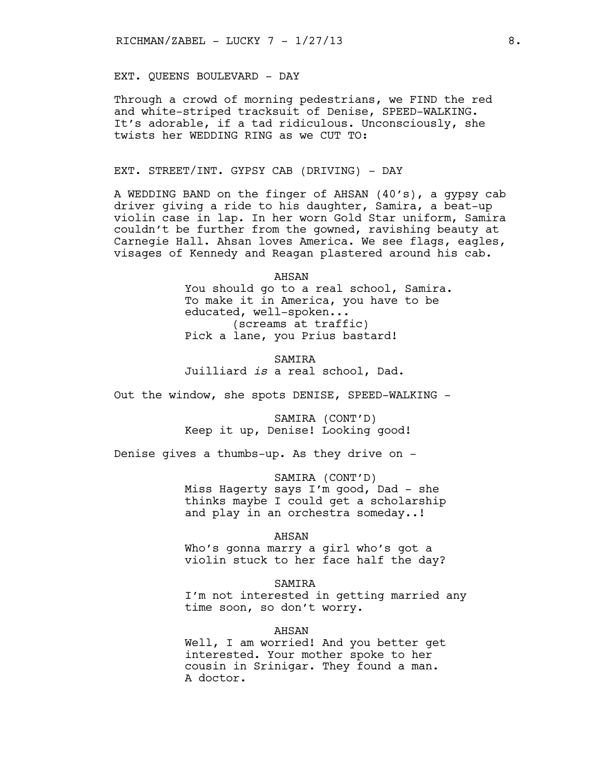EXT. QUEENS BOULEVARD - DAY

Through a crowd of morning pedestrians, we FIND the red and white-striped tracksuit of Denise, SPEED-WALKING. It's adorable, if a tad ridiculous. Unconsciously, she twists her WEDDING RING as we CUT TO:

## EXT. STREET/INT. GYPSY CAB (DRIVING) - DAY

A WEDDING BAND on the finger of AHSAN (40's), a gypsy cab driver giving a ride to his daughter, Samira, a beat-up violin case in lap. In her worn Gold Star uniform, Samira couldn't be further from the gowned, ravishing beauty at Carnegie Hall. Ahsan loves America. We see flags, eagles, visages of Kennedy and Reagan plastered around his cab.

> AHSAN You should go to a real school, Samira. To make it in America, you have to be educated, well-spoken... (screams at traffic) Pick a lane, you Prius bastard!

SAMIRA Juilliard *is* a real school, Dad.

Out the window, she spots DENISE, SPEED-WALKING -

SAMIRA (CONT'D) Keep it up, Denise! Looking good!

Denise gives a thumbs-up. As they drive on -

SAMIRA (CONT'D) Miss Hagerty says I'm good, Dad - she thinks maybe I could get a scholarship and play in an orchestra someday..!

#### AHSAN

Who's gonna marry a girl who's got a violin stuck to her face half the day?

#### SAMIRA

I'm not interested in getting married any time soon, so don't worry.

#### AHSAN

Well, I am worried! And you better get interested. Your mother spoke to her cousin in Srinigar. They found a man. A doctor.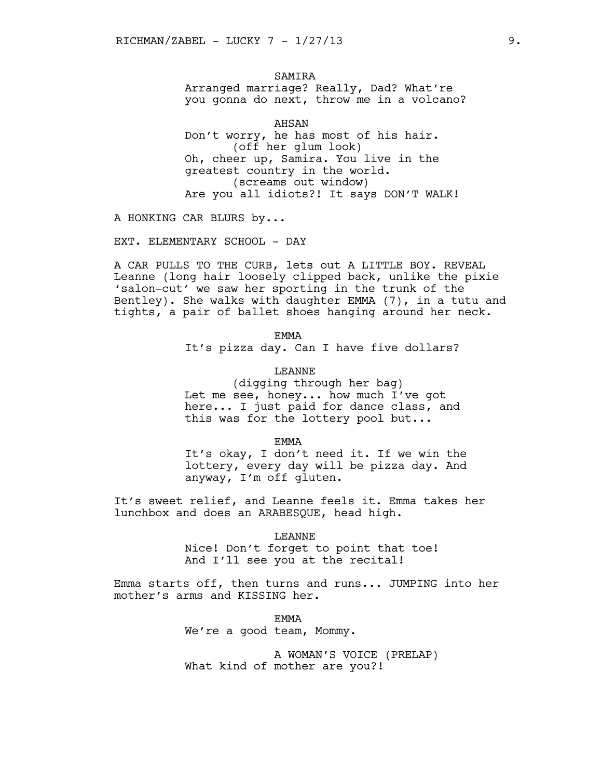**SAMTRA** Arranged marriage? Really, Dad? What're you gonna do next, throw me in a volcano?

AHSAN Don't worry, he has most of his hair. (off her glum look) Oh, cheer up, Samira. You live in the greatest country in the world. (screams out window) Are you all idiots?! It says DON'T WALK!

A HONKING CAR BLURS by...

EXT. ELEMENTARY SCHOOL - DAY

A CAR PULLS TO THE CURB, lets out A LITTLE BOY. REVEAL Leanne (long hair loosely clipped back, unlike the pixie 'salon-cut' we saw her sporting in the trunk of the Bentley). She walks with daughter EMMA (7), in a tutu and tights, a pair of ballet shoes hanging around her neck.

EMMA

It's pizza day. Can I have five dollars?

LEANNE (digging through her bag) Let me see, honey... how much I've got here... I just paid for dance class, and this was for the lottery pool but...

EMMA

It's okay, I don't need it. If we win the lottery, every day will be pizza day. And anyway, I'm off gluten.

It's sweet relief, and Leanne feels it. Emma takes her lunchbox and does an ARABESQUE, head high.

LEANNE

Nice! Don't forget to point that toe! And I'll see you at the recital!

Emma starts off, then turns and runs... JUMPING into her mother's arms and KISSING her.

> EMMA We're a good team, Mommy.

A WOMAN'S VOICE (PRELAP) What kind of mother are you?!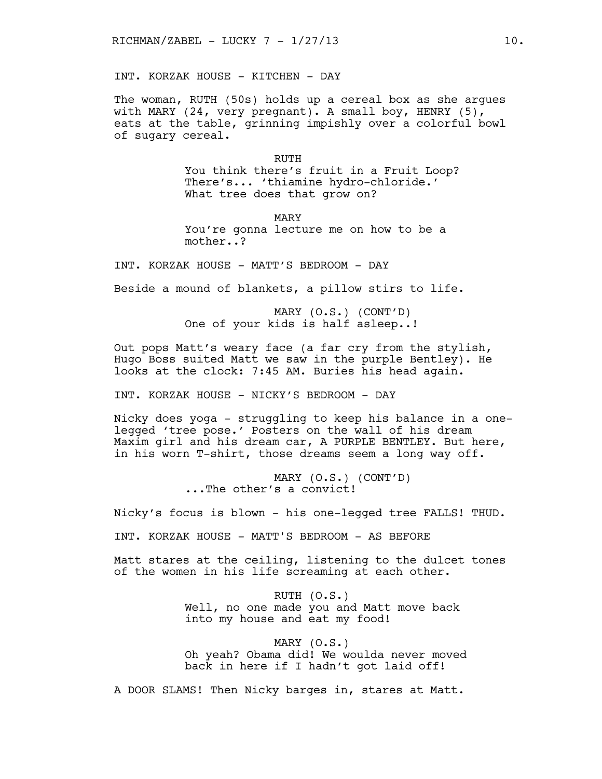INT. KORZAK HOUSE - KITCHEN - DAY

The woman, RUTH (50s) holds up a cereal box as she argues with MARY (24, very pregnant). A small boy, HENRY (5), eats at the table, grinning impishly over a colorful bowl of sugary cereal.

> RUTH You think there's fruit in a Fruit Loop? There's... 'thiamine hydro-chloride.' What tree does that grow on?

MARY You're gonna lecture me on how to be a mother..?

INT. KORZAK HOUSE - MATT'S BEDROOM - DAY

Beside a mound of blankets, a pillow stirs to life.

MARY (O.S.) (CONT'D) One of your kids is half asleep..!

Out pops Matt's weary face (a far cry from the stylish, Hugo Boss suited Matt we saw in the purple Bentley). He looks at the clock: 7:45 AM. Buries his head again.

INT. KORZAK HOUSE - NICKY'S BEDROOM - DAY

Nicky does yoga - struggling to keep his balance in a onelegged 'tree pose.' Posters on the wall of his dream Maxim girl and his dream car, A PURPLE BENTLEY. But here, in his worn T-shirt, those dreams seem a long way off.

> MARY (O.S.) (CONT'D) ...The other's a convict!

Nicky's focus is blown - his one-legged tree FALLS! THUD.

INT. KORZAK HOUSE - MATT'S BEDROOM - AS BEFORE

Matt stares at the ceiling, listening to the dulcet tones of the women in his life screaming at each other.

> RUTH (O.S.) Well, no one made you and Matt move back into my house and eat my food!

MARY (O.S.) Oh yeah? Obama did! We woulda never moved back in here if I hadn't got laid off!

A DOOR SLAMS! Then Nicky barges in, stares at Matt.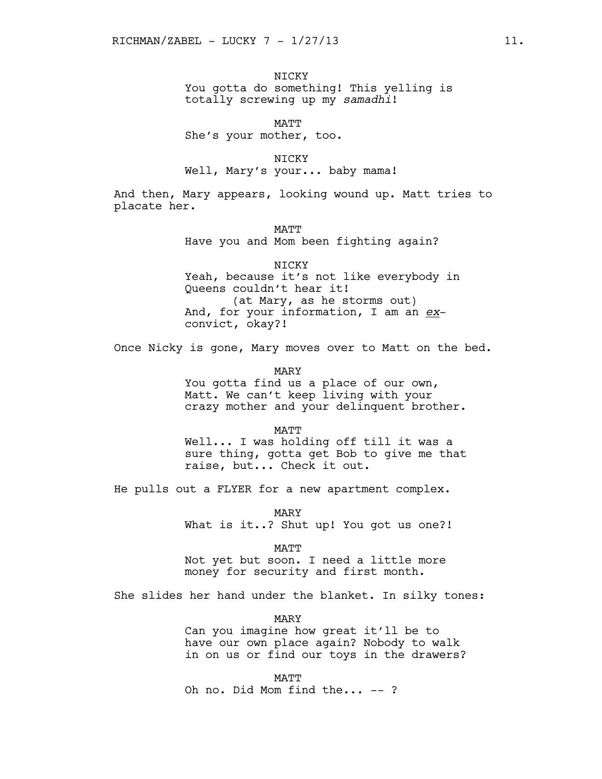NICKY You gotta do something! This yelling is totally screwing up my *samadhi*!

MATT She's your mother, too.

NICKY Well, Mary's your... baby mama!

And then, Mary appears, looking wound up. Matt tries to placate her.

> **MATT** Have you and Mom been fighting again?

NICKY Yeah, because it's not like everybody in Queens couldn't hear it! (at Mary, as he storms out) And, for your information, I am an *ex*convict, okay?!

Once Nicky is gone, Mary moves over to Matt on the bed.

MARY

You gotta find us a place of our own, Matt. We can't keep living with your crazy mother and your delinquent brother.

MATT

Well... I was holding off till it was a sure thing, gotta get Bob to give me that raise, but... Check it out.

He pulls out a FLYER for a new apartment complex.

MARY What is it..? Shut up! You got us one?!

MATT

Not yet but soon. I need a little more money for security and first month.

She slides her hand under the blanket. In silky tones:

MARY Can you imagine how great it'll be to have our own place again? Nobody to walk in on us or find our toys in the drawers?

MATT Oh no. Did Mom find the... -- ?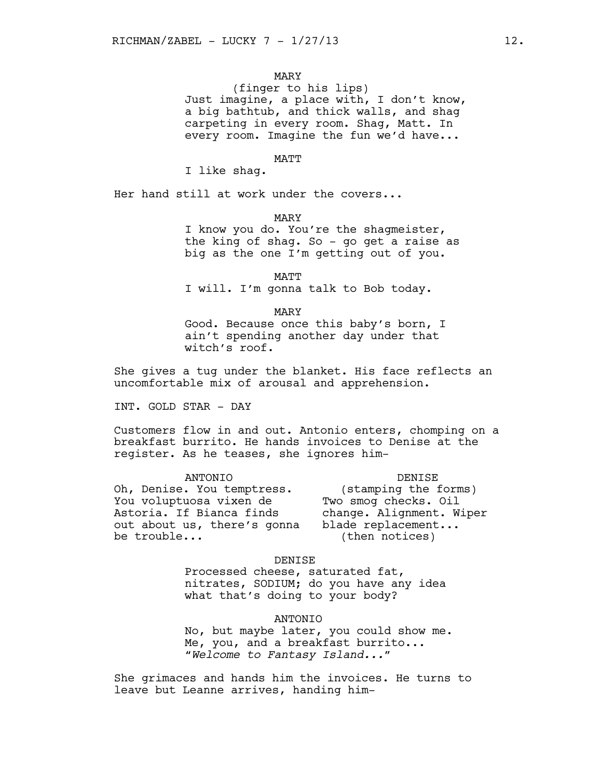## MARY

(finger to his lips) Just imagine, a place with, I don't know, a big bathtub, and thick walls, and shag carpeting in every room. Shag, Matt. In every room. Imagine the fun we'd have...

MATT

I like shag.

Her hand still at work under the covers...

MARY

I know you do. You're the shagmeister, the king of shag. So - go get a raise as big as the one I'm getting out of you.

MATT I will. I'm gonna talk to Bob today.

MARY

Good. Because once this baby's born, I ain't spending another day under that witch's roof.

She gives a tug under the blanket. His face reflects an uncomfortable mix of arousal and apprehension.

INT. GOLD STAR - DAY

Customers flow in and out. Antonio enters, chomping on a breakfast burrito. He hands invoices to Denise at the register. As he teases, she ignores him-

ANTONIO Oh, Denise. You temptress. \* You voluptuosa vixen de \* Two smog checks. Oil Astoria. If Bianca finds \* \* \* change. Alignment. Wiper out about us, there's gonna be trouble...

DENISE (stamping the forms) change. Alignment. Wiper blade replacement... (then notices)

#### DENISE

Processed cheese, saturated fat, nitrates, SODIUM; do you have any idea what that's doing to your body?

ANTONIO

No, but maybe later, you could show me. Me, you, and a breakfast burrito... *"Welcome to Fantasy Island..."*

She grimaces and hands him the invoices. He turns to leave but Leanne arrives, handing him-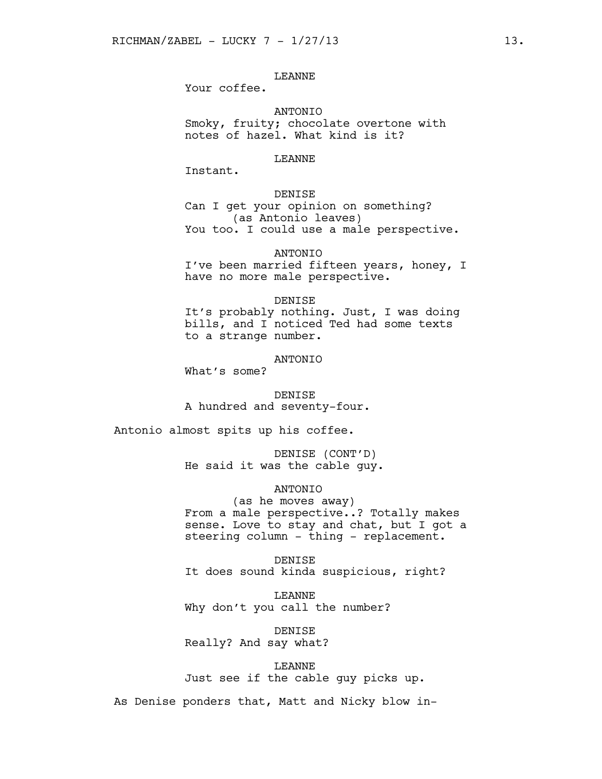# LEANNE

Your coffee.

ANTONIO Smoky, fruity; chocolate overtone with notes of hazel. What kind is it?

#### LEANNE

Instant.

# DENISE

Can I get your opinion on something? (as Antonio leaves) You too. I could use a male perspective.

ANTONIO

I've been married fifteen years, honey, I have no more male perspective.

#### DENISE

It's probably nothing. Just, I was doing bills, and I noticed Ted had some texts to a strange number.

# ANTONIO

What's some?

DENISE A hundred and seventy-four.

Antonio almost spits up his coffee.

DENISE (CONT'D) He said it was the cable guy.

## **ANTONIO**

(as he moves away) From a male perspective..? Totally makes sense. Love to stay and chat, but I got a steering column - thing - replacement.

DENISE It does sound kinda suspicious, right?

LEANNE Why don't you call the number?

DENISE Really? And say what?

LEANNE Just see if the cable guy picks up.

As Denise ponders that, Matt and Nicky blow in-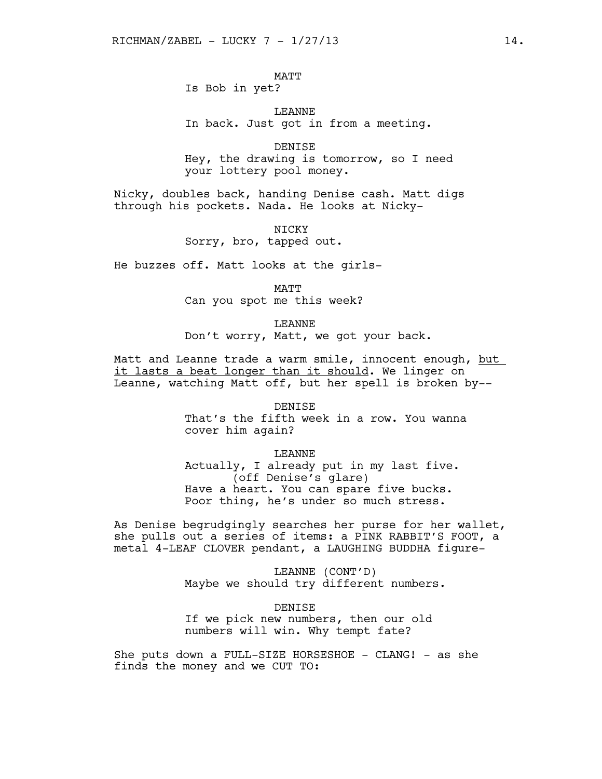MATT Is Bob in yet?

LEANNE In back. Just got in from a meeting.

DENISE Hey, the drawing is tomorrow, so I need your lottery pool money.

Nicky, doubles back, handing Denise cash. Matt digs through his pockets. Nada. He looks at Nicky-

> **NTCKY** Sorry, bro, tapped out.

He buzzes off. Matt looks at the girls-

cover him again?

MATT Can you spot me this week?

LEANNE Don't worry, Matt, we got your back.

Matt and Leanne trade a warm smile, innocent enough, but it lasts a beat longer than it should. We linger on Leanne, watching Matt off, but her spell is broken by--

> DENISE That's the fifth week in a row. You wanna

LEANNE Actually, I already put in my last five. (off Denise's glare) Have a heart. You can spare five bucks. Poor thing, he's under so much stress.

As Denise begrudgingly searches her purse for her wallet, she pulls out a series of items: a PINK RABBIT'S FOOT, a metal 4-LEAF CLOVER pendant, a LAUGHING BUDDHA figure-

> LEANNE (CONT'D) Maybe we should try different numbers.

DENISE If we pick new numbers, then our old numbers will win. Why tempt fate?

She puts down a FULL-SIZE HORSESHOE - CLANG! - as she finds the money and we CUT TO: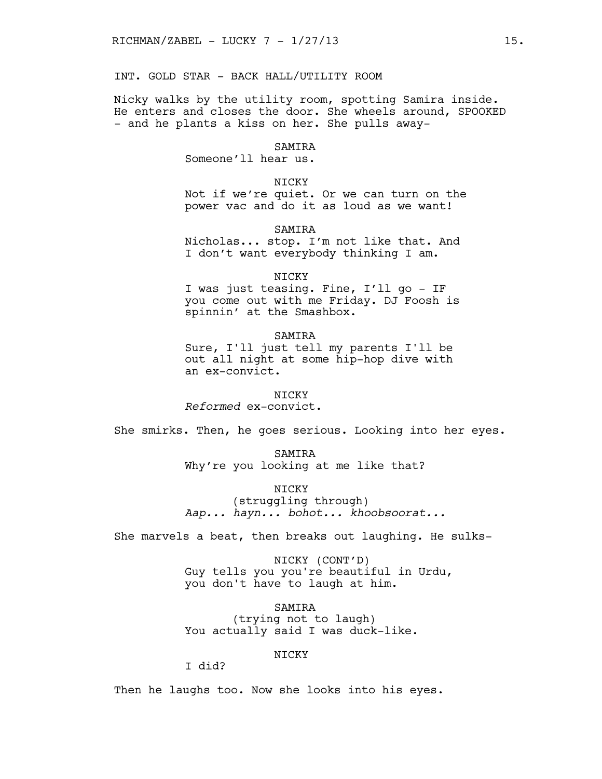INT. GOLD STAR - BACK HALL/UTILITY ROOM

Nicky walks by the utility room, spotting Samira inside. He enters and closes the door. She wheels around, SPOOKED - and he plants a kiss on her. She pulls away-

## SAMIRA

Someone'll hear us.

## NICKY

Not if we're quiet. Or we can turn on the power vac and do it as loud as we want!

# **SAMTRA**

Nicholas... stop. I'm not like that. And I don't want everybody thinking I am.

### NICKY

I was just teasing. Fine, I'll go - IF you come out with me Friday. DJ Foosh is spinnin' at the Smashbox.

## SAMIRA

Sure, I'll just tell my parents I'll be out all night at some hip-hop dive with an ex-convict.

## NICKY

*Reformed* ex-convict.

She smirks. Then, he goes serious. Looking into her eyes.

SAMIRA Why're you looking at me like that?

NICKY

(struggling through) *Aap... hayn... bohot... khoobsoorat...*

She marvels a beat, then breaks out laughing. He sulks-

NICKY (CONT'D) Guy tells you you're beautiful in Urdu, you don't have to laugh at him.

SAMIRA (trying not to laugh) You actually said I was duck-like.

# NICKY

I did?

Then he laughs too. Now she looks into his eyes.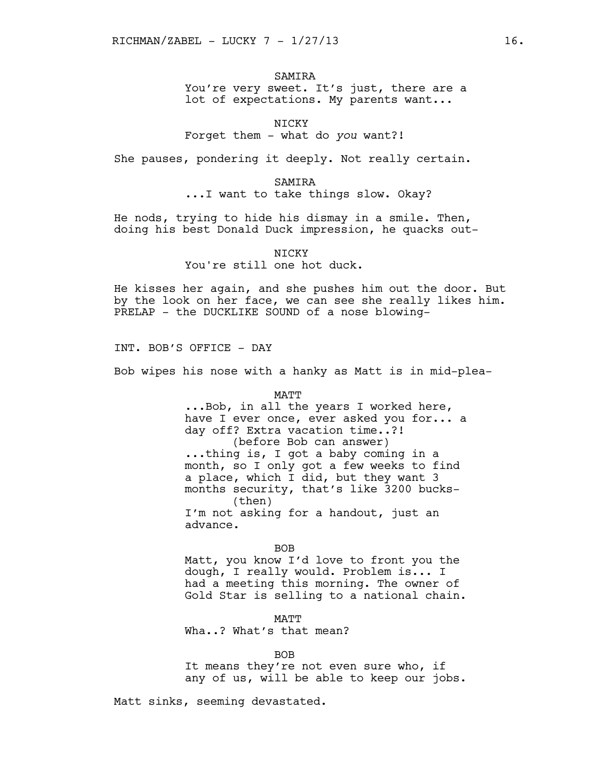## SAMIRA

You're very sweet. It's just, there are a lot of expectations. My parents want...

## NICKY

Forget them - what do *you* want?!

She pauses, pondering it deeply. Not really certain.

#### SAMIRA

...I want to take things slow. Okay?

He nods, trying to hide his dismay in a smile. Then, doing his best Donald Duck impression, he quacks out-

#### **NTCKY**

# You're still one hot duck.

He kisses her again, and she pushes him out the door. But by the look on her face, we can see she really likes him. PRELAP - the DUCKLIKE SOUND of a nose blowing-

INT. BOB'S OFFICE - DAY

Bob wipes his nose with a hanky as Matt is in mid-plea-

MATT

...Bob, in all the years I worked here, have I ever once, ever asked you for... a day off? Extra vacation time..?! (before Bob can answer) ...thing is, I got a baby coming in a month, so I only got a few weeks to find a place, which I did, but they want 3 months security, that's like 3200 bucks- (then) I'm not asking for a handout, just an advance.

#### BOB

Matt, you know I'd love to front you the dough, I really would. Problem is... I had a meeting this morning. The owner of Gold Star is selling to a national chain.

MATT Wha..? What's that mean?

#### BOB

It means they're not even sure who, if any of us, will be able to keep our jobs.

Matt sinks, seeming devastated.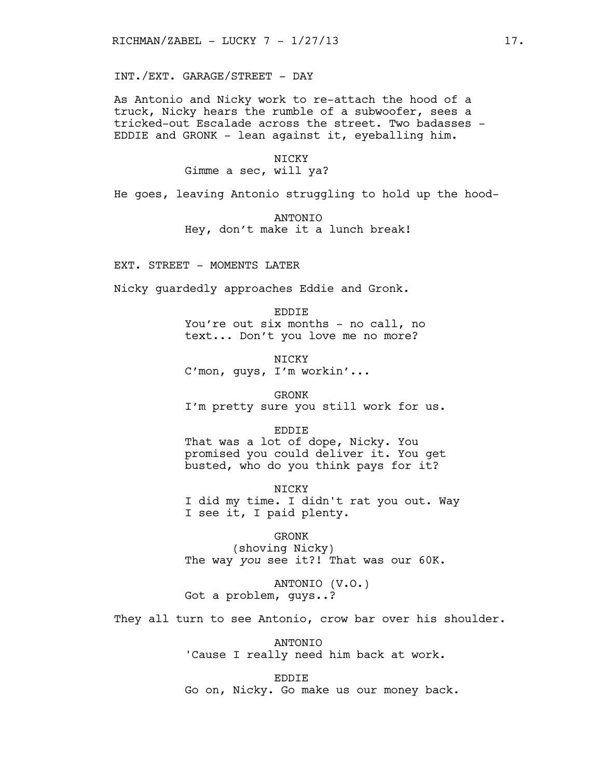INT./EXT. GARAGE/STREET - DAY

As Antonio and Nicky work to re-attach the hood of a truck, Nicky hears the rumble of a subwoofer, sees a tricked-out Escalade across the street. Two badasses - EDDIE and GRONK - lean against it, eyeballing him.

> NICKY Gimme a sec, will ya?

He goes, leaving Antonio struggling to hold up the hood-

ANTONIO Hey, don't make it a lunch break!

EXT. STREET - MOMENTS LATER

Nicky guardedly approaches Eddie and Gronk.

EDDIE You're out six months - no call, no text... Don't you love me no more?

**NTCKY** C'mon, guys, I'm workin'...

GRONK I'm pretty sure you still work for us.

EDDIE That was a lot of dope, Nicky. You promised you could deliver it. You get busted, who do you think pays for it?

NICKY I did my time. I didn't rat you out. Way I see it, I paid plenty.

GRONK (shoving Nicky) The way *you* see it?! That was our 60K.

ANTONIO (V.O.) Got a problem, guys..?

They all turn to see Antonio, crow bar over his shoulder.

ANTONIO 'Cause I really need him back at work.

EDDIE Go on, Nicky. Go make us our money back.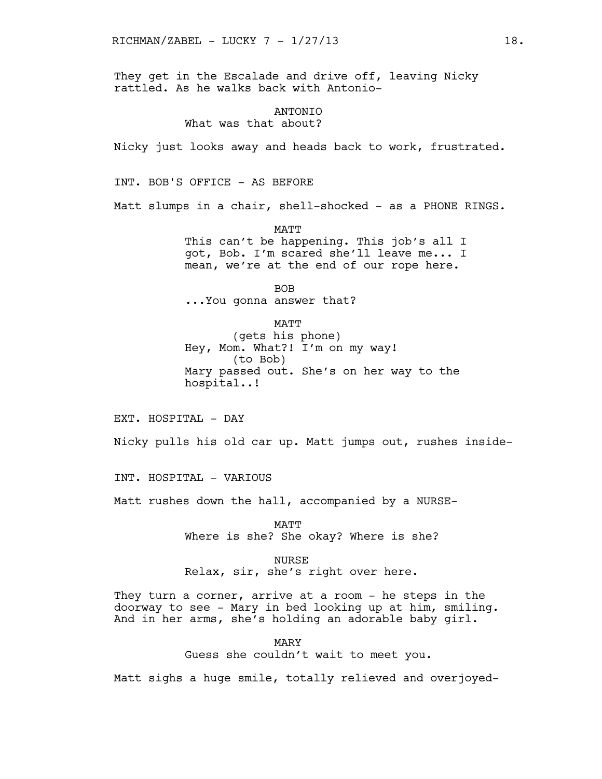They get in the Escalade and drive off, leaving Nicky rattled. As he walks back with Antonio-

## **ANTONIO** What was that about?

Nicky just looks away and heads back to work, frustrated.

INT. BOB'S OFFICE - AS BEFORE

Matt slumps in a chair, shell-shocked - as a PHONE RINGS.

**MATT** 

This can't be happening. This job's all I got, Bob. I'm scared she'll leave me... I mean, we're at the end of our rope here.

BOB ...You gonna answer that?

MATT (gets his phone) Hey, Mom. What?! I'm on my way! (to Bob) Mary passed out. She's on her way to the hospital..!

EXT. HOSPITAL - DAY

Nicky pulls his old car up. Matt jumps out, rushes inside-

INT. HOSPITAL - VARIOUS

Matt rushes down the hall, accompanied by a NURSE-

MATT Where is she? She okay? Where is she?

NURSE Relax, sir, she's right over here.

They turn a corner, arrive at a room - he steps in the doorway to see - Mary in bed looking up at him, smiling. And in her arms, she's holding an adorable baby girl.

> MARY Guess she couldn't wait to meet you.

Matt sighs a huge smile, totally relieved and overjoyed-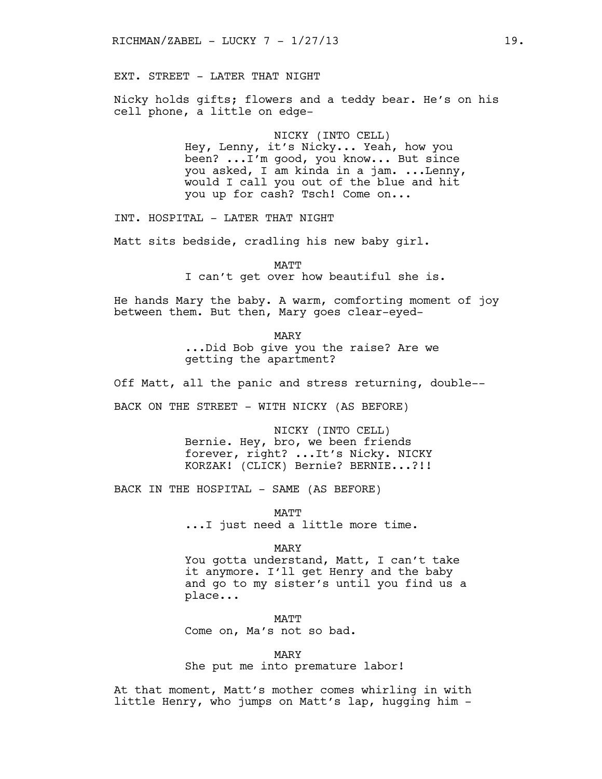EXT. STREET - LATER THAT NIGHT

Nicky holds gifts; flowers and a teddy bear. He's on his cell phone, a little on edge-

> NICKY (INTO CELL) Hey, Lenny, it's Nicky... Yeah, how you been? ...I'm good, you know... But since you asked, I am kinda in a jam. ...Lenny, would I call you out of the blue and hit you up for cash? Tsch! Come on...

INT. HOSPITAL - LATER THAT NIGHT

Matt sits bedside, cradling his new baby girl.

MATT

I can't get over how beautiful she is.

He hands Mary the baby. A warm, comforting moment of joy between them. But then, Mary goes clear-eyed-

MARY

...Did Bob give you the raise? Are we getting the apartment?

Off Matt, all the panic and stress returning, double--

BACK ON THE STREET - WITH NICKY (AS BEFORE)

NICKY (INTO CELL) Bernie. Hey, bro, we been friends forever, right? ...It's Nicky. NICKY KORZAK! (CLICK) Bernie? BERNIE...?!!

BACK IN THE HOSPITAL - SAME (AS BEFORE)

MATT ...I just need a little more time.

MARY

You gotta understand, Matt, I can't take it anymore. I'll get Henry and the baby and go to my sister's until you find us a place...

MATT Come on, Ma's not so bad.

MARY

She put me into premature labor!

At that moment, Matt's mother comes whirling in with little Henry, who jumps on Matt's lap, hugging him -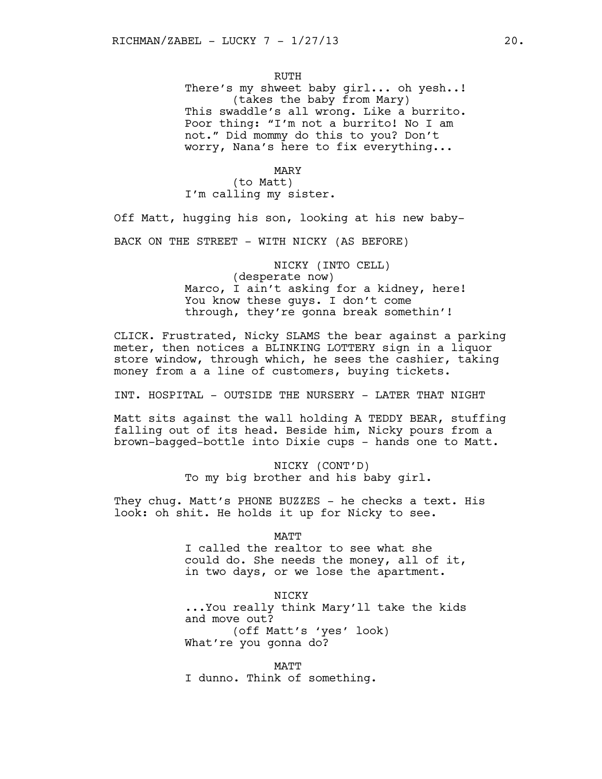RUTH There's my shweet baby girl... oh yesh..! (takes the baby from Mary) This swaddle's all wrong. Like a burrito. Poor thing: "I'm not a burrito! No I am not." Did mommy do this to you? Don't worry, Nana's here to fix everything...

MARY (to Matt) I'm calling my sister.

Off Matt, hugging his son, looking at his new baby-

BACK ON THE STREET - WITH NICKY (AS BEFORE)

NICKY (INTO CELL) (desperate now) Marco, I ain't asking for a kidney, here! You know these guys. I don't come through, they're gonna break somethin'!

CLICK. Frustrated, Nicky SLAMS the bear against a parking meter, then notices a BLINKING LOTTERY sign in a liquor store window, through which, he sees the cashier, taking money from a a line of customers, buying tickets.

INT. HOSPITAL - OUTSIDE THE NURSERY - LATER THAT NIGHT

Matt sits against the wall holding A TEDDY BEAR, stuffing falling out of its head. Beside him, Nicky pours from a brown-bagged-bottle into Dixie cups - hands one to Matt.

> NICKY (CONT'D) To my big brother and his baby girl.

They chug. Matt's PHONE BUZZES - he checks a text. His look: oh shit. He holds it up for Nicky to see.

**MATT** 

I called the realtor to see what she could do. She needs the money, all of it, in two days, or we lose the apartment.

NICKY

...You really think Mary'll take the kids and move out? (off Matt's 'yes' look) What're you gonna do?

MATT I dunno. Think of something.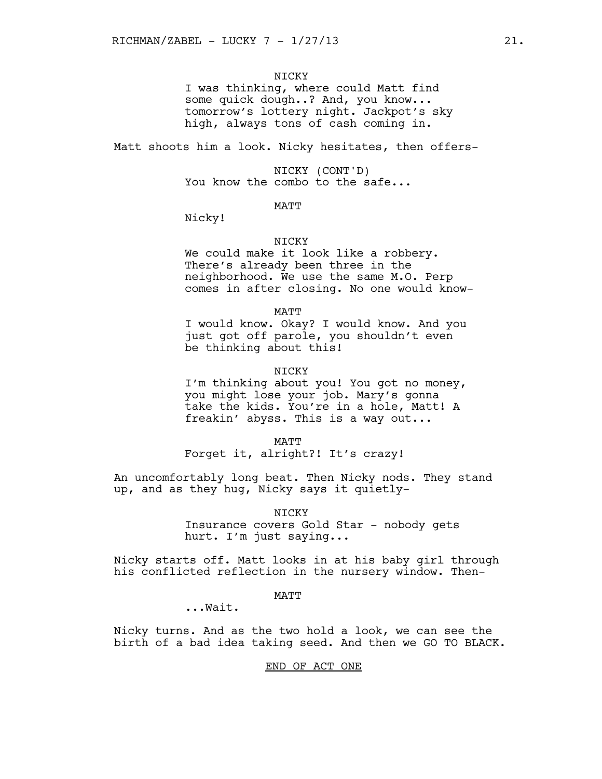## **NTCKY**

I was thinking, where could Matt find some quick dough..? And, you know... tomorrow's lottery night. Jackpot's sky high, always tons of cash coming in.

Matt shoots him a look. Nicky hesitates, then offers-

NICKY (CONT'D) You know the combo to the safe...

## MATT

Nicky!

## NICKY

We could make it look like a robbery. There's already been three in the neighborhood. We use the same M.O. Perp comes in after closing. No one would know-

MATT

I would know. Okay? I would know. And you just got off parole, you shouldn't even be thinking about this!

#### NICKY

I'm thinking about you! You got no money, you might lose your job. Mary's gonna take the kids. You're in a hole, Matt! A freakin' abyss. This is a way out...

**MATT** 

Forget it, alright?! It's crazy!

An uncomfortably long beat. Then Nicky nods. They stand up, and as they hug, Nicky says it quietly-

> NICKY Insurance covers Gold Star - nobody gets hurt. I'm just saying...

Nicky starts off. Matt looks in at his baby girl through his conflicted reflection in the nursery window. Then-

## MATT

...Wait.

Nicky turns. And as the two hold a look, we can see the birth of a bad idea taking seed. And then we GO TO BLACK.

#### END OF ACT ONE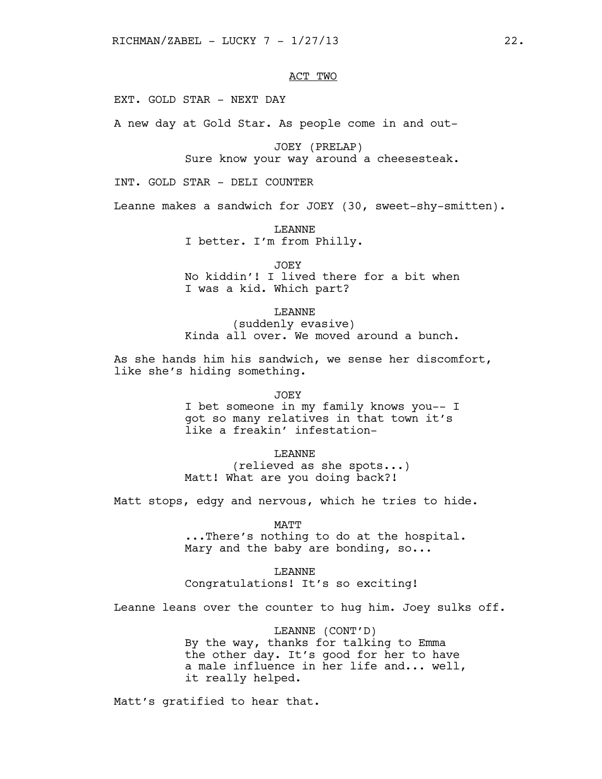# ACT TWO

EXT. GOLD STAR - NEXT DAY

A new day at Gold Star. As people come in and out-

JOEY (PRELAP) Sure know your way around a cheesesteak.

INT. GOLD STAR - DELI COUNTER

Leanne makes a sandwich for JOEY (30, sweet-shy-smitten).

LEANNE I better. I'm from Philly.

JOEY

No kiddin'! I lived there for a bit when I was a kid. Which part?

LEANNE

(suddenly evasive) Kinda all over. We moved around a bunch.

As she hands him his sandwich, we sense her discomfort, like she's hiding something.

JOEY

I bet someone in my family knows you-- I got so many relatives in that town it's like a freakin' infestation-

LEANNE

(relieved as she spots...) Matt! What are you doing back?!

Matt stops, edgy and nervous, which he tries to hide.

MATT

...There's nothing to do at the hospital. Mary and the baby are bonding, so...

LEANNE Congratulations! It's so exciting!

Leanne leans over the counter to hug him. Joey sulks off.

LEANNE (CONT'D) By the way, thanks for talking to Emma the other day. It's good for her to have a male influence in her life and... well, it really helped.

Matt's gratified to hear that.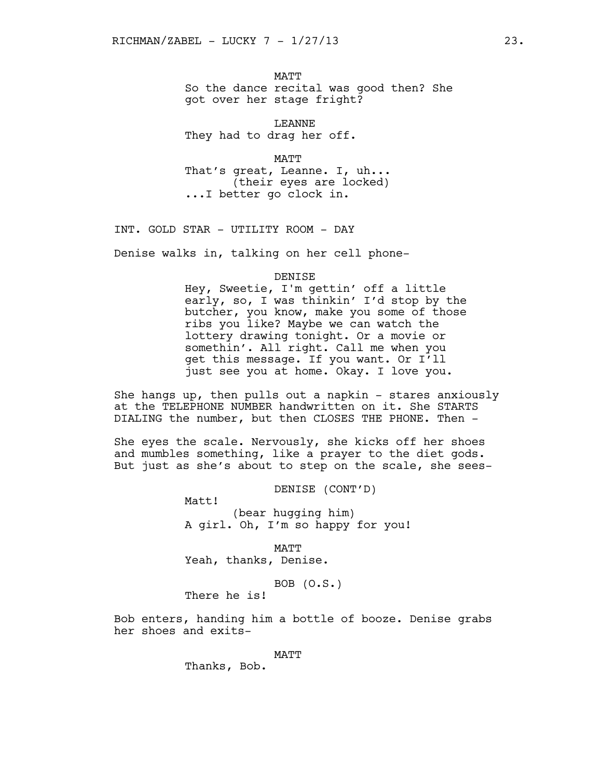MATT So the dance recital was good then? She got over her stage fright?

LEANNE They had to drag her off.

MATT That's great, Leanne. I, uh... (their eyes are locked) ...I better go clock in.

INT. GOLD STAR - UTILITY ROOM - DAY

Denise walks in, talking on her cell phone-

#### DENISE

Hey, Sweetie, I'm gettin' off a little early, so, I was thinkin' I'd stop by the butcher, you know, make you some of those ribs you like? Maybe we can watch the lottery drawing tonight. Or a movie or somethin'. All right. Call me when you get this message. If you want. Or I'll just see you at home. Okay. I love you.

She hangs up, then pulls out a napkin  $-$  stares anxiously at the TELEPHONE NUMBER handwritten on it. She STARTS DIALING the number, but then CLOSES THE PHONE. Then -

She eyes the scale. Nervously, she kicks off her shoes and mumbles something, like a prayer to the diet gods. But just as she's about to step on the scale, she sees-

DENISE (CONT'D)

(bear hugging him) A girl. Oh, I'm so happy for you!

MATT Yeah, thanks, Denise.

BOB (O.S.)

There he is!

Matt!

Bob enters, handing him a bottle of booze. Denise grabs her shoes and exits-

MATT

Thanks, Bob.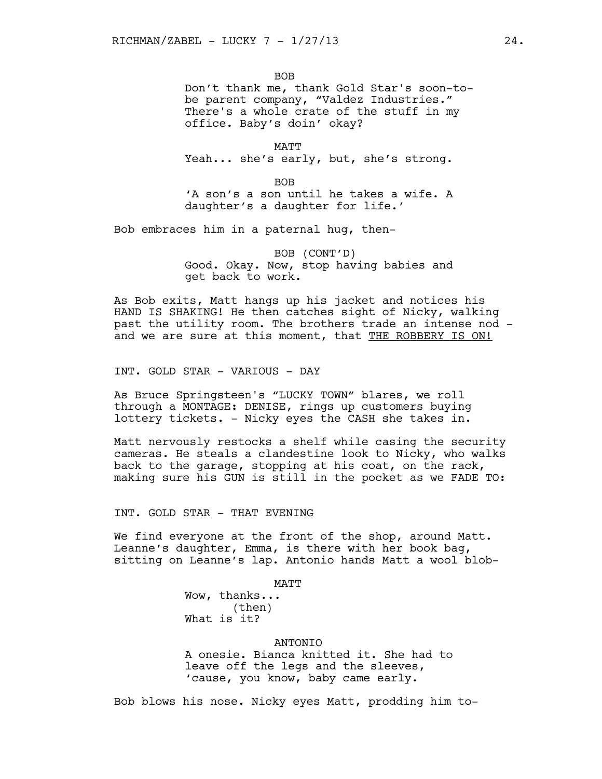**BOB** Don't thank me, thank Gold Star's soon-tobe parent company, "Valdez Industries." There's a whole crate of the stuff in my office. Baby's doin' okay?

MATT Yeah... she's early, but, she's strong.

BOB 'A son's a son until he takes a wife. A daughter's a daughter for life.'

Bob embraces him in a paternal hug, then-

BOB (CONT'D) Good. Okay. Now, stop having babies and get back to work.

As Bob exits, Matt hangs up his jacket and notices his HAND IS SHAKING! He then catches sight of Nicky, walking past the utility room. The brothers trade an intense nod and we are sure at this moment, that THE ROBBERY IS ON!

INT. GOLD STAR - VARIOUS - DAY

As Bruce Springsteen's "LUCKY TOWN" blares, we roll through a MONTAGE: DENISE, rings up customers buying lottery tickets. - Nicky eyes the CASH she takes in.

Matt nervously restocks a shelf while casing the security cameras. He steals a clandestine look to Nicky, who walks back to the garage, stopping at his coat, on the rack, making sure his GUN is still in the pocket as we FADE TO:

INT. GOLD STAR - THAT EVENING

We find everyone at the front of the shop, around Matt. Leanne's daughter, Emma, is there with her book bag, sitting on Leanne's lap. Antonio hands Matt a wool blob-

#### MATT

Wow, thanks... (then) What is it?

## **ANTONIO**

A onesie. Bianca knitted it. She had to leave off the legs and the sleeves, 'cause, you know, baby came early.

Bob blows his nose. Nicky eyes Matt, prodding him to-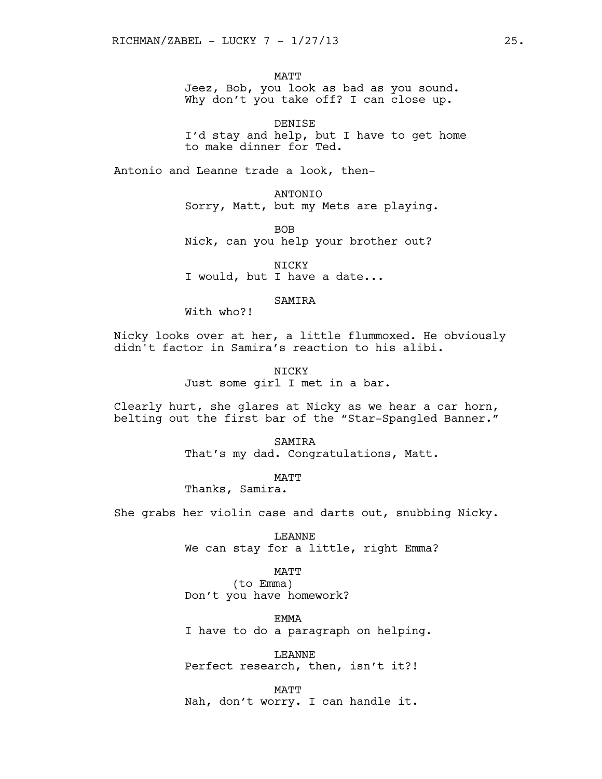MATT Jeez, Bob, you look as bad as you sound. Why don't you take off? I can close up.

DENISE I'd stay and help, but I have to get home to make dinner for Ted.

Antonio and Leanne trade a look, then-

ANTONIO Sorry, Matt, but my Mets are playing.

BOB Nick, can you help your brother out?

NICKY I would, but I have a date...

## SAMIRA

With who?!

Nicky looks over at her, a little flummoxed. He obviously didn't factor in Samira's reaction to his alibi.

> NICKY Just some girl I met in a bar.

Clearly hurt, she glares at Nicky as we hear a car horn, belting out the first bar of the "Star-Spangled Banner."

> **SAMTRA** That's my dad. Congratulations, Matt.

MATT Thanks, Samira.

She grabs her violin case and darts out, snubbing Nicky.

LEANNE We can stay for a little, right Emma?

MATT (to Emma) Don't you have homework?

EMMA I have to do a paragraph on helping.

LEANNE Perfect research, then, isn't it?!

MATT Nah, don't worry. I can handle it.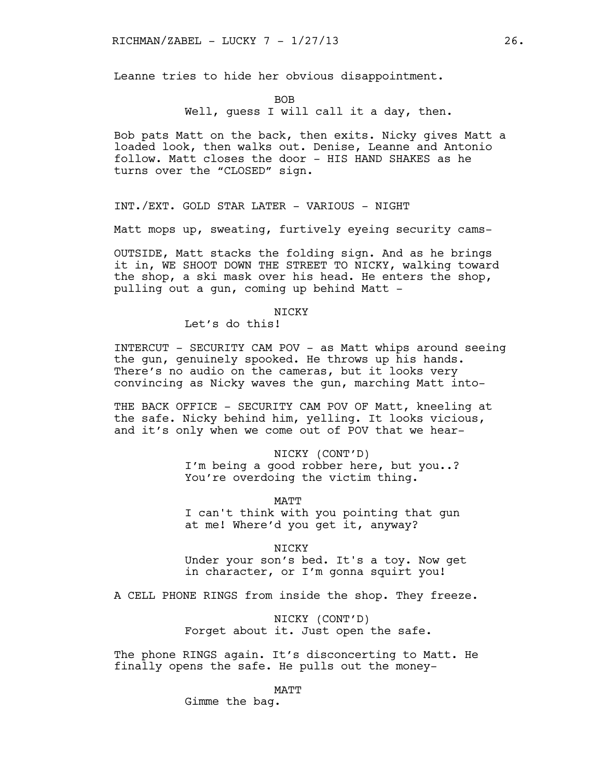Leanne tries to hide her obvious disappointment.

BOB

Well, quess I will call it a day, then.

Bob pats Matt on the back, then exits. Nicky gives Matt a loaded look, then walks out. Denise, Leanne and Antonio follow. Matt closes the door - HIS HAND SHAKES as he turns over the "CLOSED" sign.

INT./EXT. GOLD STAR LATER - VARIOUS - NIGHT

Matt mops up, sweating, furtively eyeing security cams-

OUTSIDE, Matt stacks the folding sign. And as he brings it in, WE SHOOT DOWN THE STREET TO NICKY, walking toward the shop, a ski mask over his head. He enters the shop, pulling out a gun, coming up behind Matt -

**NTCKY** 

Let's do this!

INTERCUT - SECURITY CAM POV - as Matt whips around seeing the gun, genuinely spooked. He throws up his hands. There's no audio on the cameras, but it looks very convincing as Nicky waves the gun, marching Matt into-

THE BACK OFFICE - SECURITY CAM POV OF Matt, kneeling at the safe. Nicky behind him, yelling. It looks vicious, and it's only when we come out of POV that we hear-

> NICKY (CONT'D) I'm being a good robber here, but you..? You're overdoing the victim thing.

> > MATT

I can't think with you pointing that gun at me! Where'd you get it, anyway?

NICKY

Under your son's bed. It's a toy. Now get in character, or I'm gonna squirt you!

A CELL PHONE RINGS from inside the shop. They freeze.

NICKY (CONT'D) Forget about it. Just open the safe.

The phone RINGS again. It's disconcerting to Matt. He finally opens the safe. He pulls out the money-

MATT

Gimme the bag.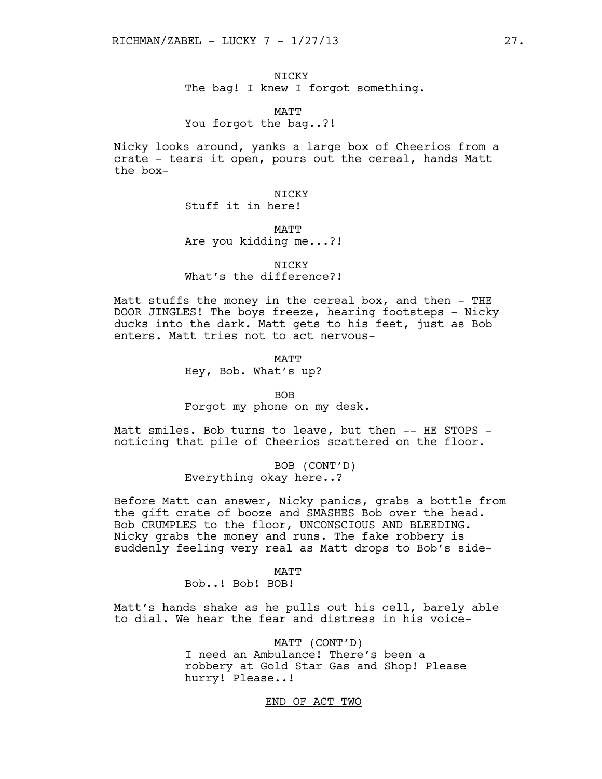NICKY The bag! I knew I forgot something.

MATT You forgot the bag..?!

Nicky looks around, yanks a large box of Cheerios from a crate - tears it open, pours out the cereal, hands Matt the box-

> NICKY Stuff it in here!

**MATT** Are you kidding me...?!

NICKY What's the difference?!

Matt stuffs the money in the cereal box, and then - THE DOOR JINGLES! The boys freeze, hearing footsteps - Nicky ducks into the dark. Matt gets to his feet, just as Bob enters. Matt tries not to act nervous-

> **MATT** Hey, Bob. What's up?

BOB Forgot my phone on my desk.

Matt smiles. Bob turns to leave, but then -- HE STOPS noticing that pile of Cheerios scattered on the floor.

> BOB (CONT'D) Everything okay here..?

Before Matt can answer, Nicky panics, grabs a bottle from the gift crate of booze and SMASHES Bob over the head. Bob CRUMPLES to the floor, UNCONSCIOUS AND BLEEDING. Nicky grabs the money and runs. The fake robbery is suddenly feeling very real as Matt drops to Bob's side-

MATT

Bob..! Bob! BOB!

Matt's hands shake as he pulls out his cell, barely able to dial. We hear the fear and distress in his voice-

> MATT (CONT'D) I need an Ambulance! There's been a robbery at Gold Star Gas and Shop! Please hurry! Please..!

> > END OF ACT TWO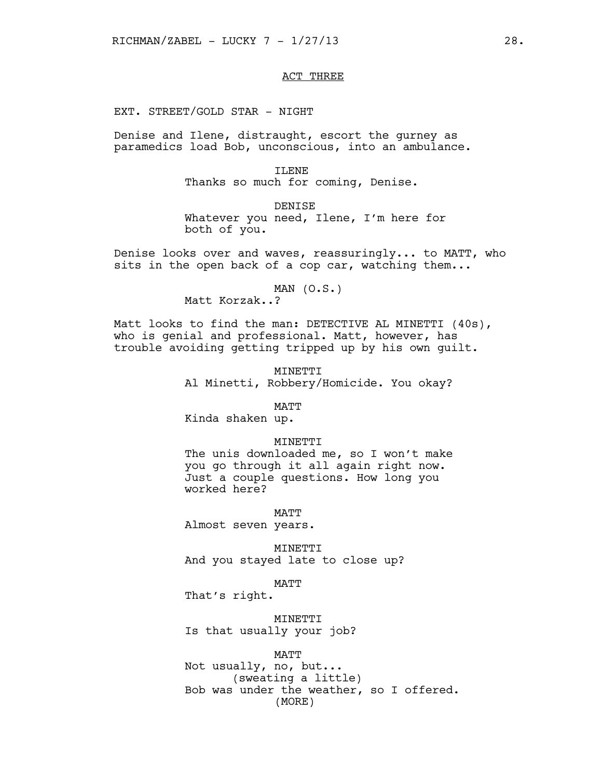# ACT THREE

EXT. STREET/GOLD STAR - NIGHT

Denise and Ilene, distraught, escort the gurney as paramedics load Bob, unconscious, into an ambulance.

> TLENE Thanks so much for coming, Denise.

DENISE Whatever you need, Ilene, I'm here for both of you.

Denise looks over and waves, reassuringly... to MATT, who sits in the open back of a cop car, watching them...

 $MAN (O.S.)$ 

Matt Korzak..?

Matt looks to find the man: DETECTIVE AL MINETTI (40s), who is genial and professional. Matt, however, has trouble avoiding getting tripped up by his own guilt.

> MINETTI Al Minetti, Robbery/Homicide. You okay?

> > MATT

Kinda shaken up.

#### **MINETTI**

The unis downloaded me, so I won't make you go through it all again right now. Just a couple questions. How long you worked here?

MATT Almost seven years.

MINETTI And you stayed late to close up?

MATT

That's right.

MINETTI Is that usually your job?

MATT

Not usually, no, but... (sweating a little) Bob was under the weather, so I offered. (MORE)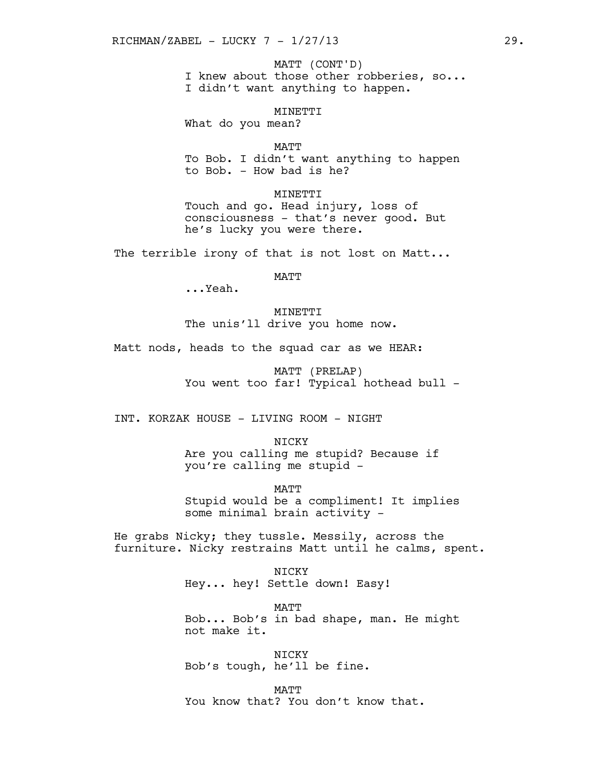I knew about those other robberies, so... I didn't want anything to happen. MATT (CONT'D)

MINETTI What do you mean?

MATT To Bob. I didn't want anything to happen to Bob. - How bad is he?

MINETTI Touch and go. Head injury, loss of consciousness - that's never good. But he's lucky you were there.

The terrible irony of that is not lost on Matt...

MATT

...Yeah.

MINETTI The unis'll drive you home now.

Matt nods, heads to the squad car as we HEAR:

MATT (PRELAP) You went too far! Typical hothead bull -

INT. KORZAK HOUSE - LIVING ROOM - NIGHT

**NTCKY** Are you calling me stupid? Because if you're calling me stupid -

**MATT** Stupid would be a compliment! It implies some minimal brain activity -

He grabs Nicky; they tussle. Messily, across the furniture. Nicky restrains Matt until he calms, spent.

> NICKY Hey... hey! Settle down! Easy!

MATT Bob... Bob's in bad shape, man. He might not make it.

NICKY Bob's tough, he'll be fine.

**MATT** You know that? You don't know that.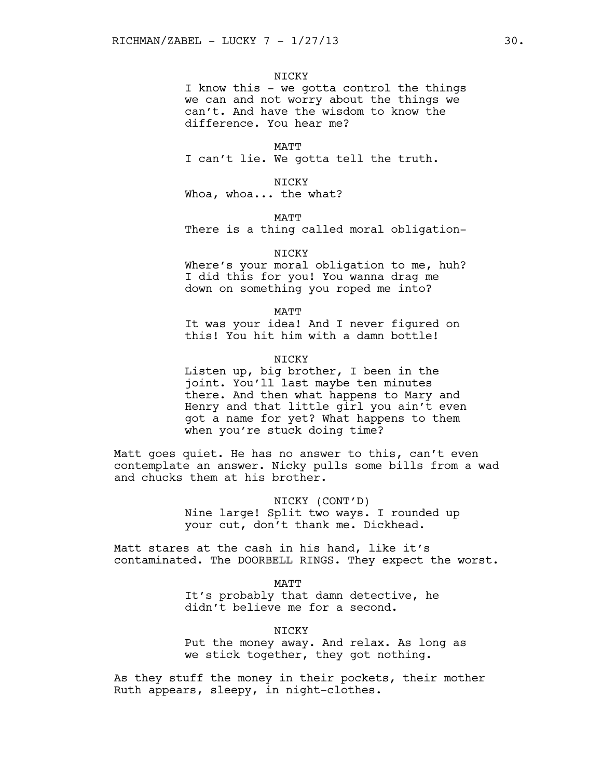## **NTCKY**

I know this - we gotta control the things we can and not worry about the things we can't. And have the wisdom to know the difference. You hear me?

MATT I can't lie. We gotta tell the truth.

NICKY Whoa, whoa... the what?

MATT

There is a thing called moral obligation-

NICKY

Where's your moral obligation to me, huh? I did this for you! You wanna drag me down on something you roped me into?

MATT

It was your idea! And I never figured on this! You hit him with a damn bottle!

**NTCKY** 

Listen up, big brother, I been in the joint. You'll last maybe ten minutes there. And then what happens to Mary and Henry and that little girl you ain't even got a name for yet? What happens to them when you're stuck doing time?

Matt goes quiet. He has no answer to this, can't even contemplate an answer. Nicky pulls some bills from a wad and chucks them at his brother.

> NICKY (CONT'D) Nine large! Split two ways. I rounded up your cut, don't thank me. Dickhead.

Matt stares at the cash in his hand, like it's contaminated. The DOORBELL RINGS. They expect the worst.

MATT

It's probably that damn detective, he didn't believe me for a second.

**NTCKY** 

Put the money away. And relax. As long as we stick together, they got nothing.

As they stuff the money in their pockets, their mother Ruth appears, sleepy, in night-clothes.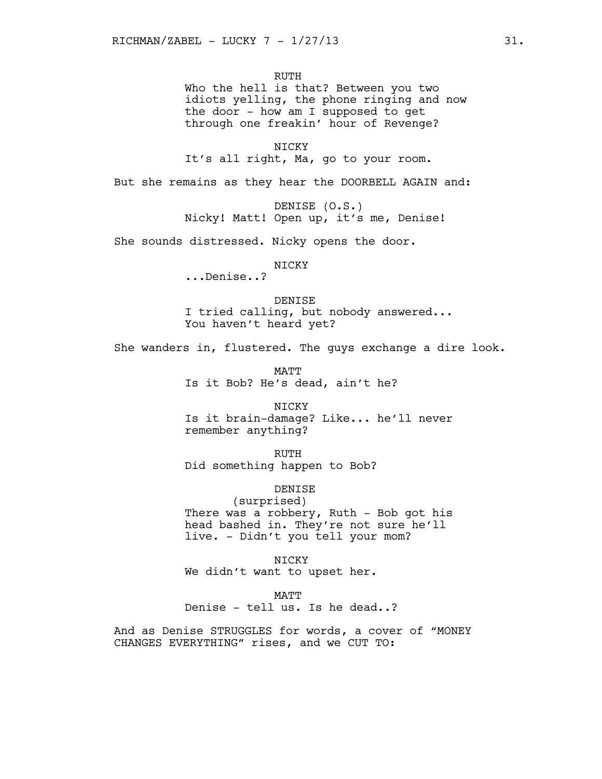RUTH Who the hell is that? Between you two idiots yelling, the phone ringing and now the door - how am I supposed to get through one freakin' hour of Revenge?

NICKY It's all right, Ma, go to your room.

But she remains as they hear the DOORBELL AGAIN and:

DENISE (O.S.) Nicky! Matt! Open up, it's me, Denise!

She sounds distressed. Nicky opens the door.

## NICKY

...Denise..?

DENISE I tried calling, but nobody answered... You haven't heard yet?

She wanders in, flustered. The guys exchange a dire look.

MATT Is it Bob? He's dead, ain't he?

NICKY Is it brain-damage? Like... he'll never remember anything?

RUTH Did something happen to Bob?

# DENISE

(surprised) There was a robbery, Ruth - Bob got his head bashed in. They're not sure he'll live. - Didn't you tell your mom?

NICKY We didn't want to upset her.

**MATT** 

Denise - tell us. Is he dead..?

And as Denise STRUGGLES for words, a cover of "MONEY CHANGES EVERYTHING" rises, and we CUT TO: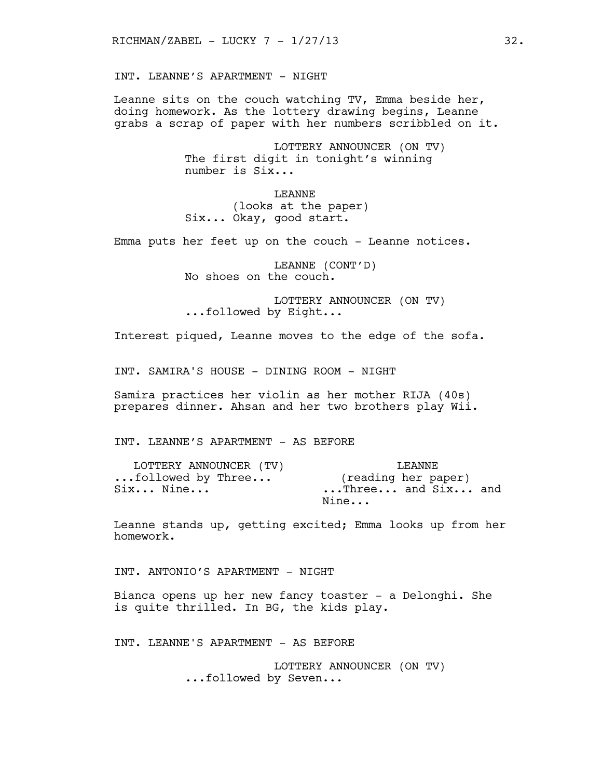INT. LEANNE'S APARTMENT - NIGHT

Leanne sits on the couch watching TV, Emma beside her, doing homework. As the lottery drawing begins, Leanne grabs a scrap of paper with her numbers scribbled on it.

> LOTTERY ANNOUNCER (ON TV) The first digit in tonight's winning number is Six...

LEANNE (looks at the paper) Six... Okay, good start.

Emma puts her feet up on the couch - Leanne notices.

LEANNE (CONT'D) No shoes on the couch.

LOTTERY ANNOUNCER (ON TV) ...followed by Eight...

Interest piqued, Leanne moves to the edge of the sofa.

INT. SAMIRA'S HOUSE - DINING ROOM - NIGHT

Samira practices her violin as her mother RIJA (40s) prepares dinner. Ahsan and her two brothers play Wii.

INT. LEANNE'S APARTMENT - AS BEFORE

| LOTTERY ANNOUNCER (TV) | T.EANNE             |  |
|------------------------|---------------------|--|
| followed by Three      | (reading her paper) |  |
| Six Nine               | Three and Six and   |  |
|                        | Nine                |  |

Leanne stands up, getting excited; Emma looks up from her homework.

INT. ANTONIO'S APARTMENT - NIGHT

Bianca opens up her new fancy toaster - a Delonghi. She is quite thrilled. In BG, the kids play.

INT. LEANNE'S APARTMENT - AS BEFORE

LOTTERY ANNOUNCER (ON TV) ...followed by Seven...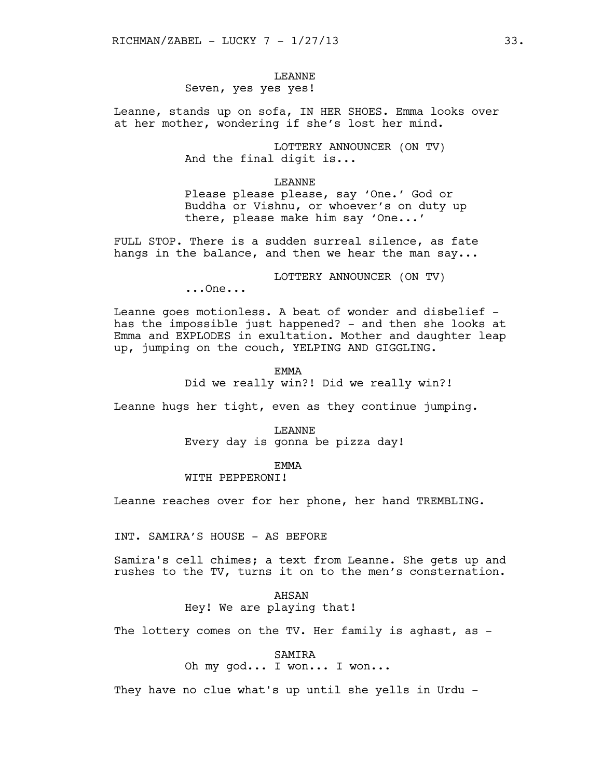# LEANNE

# Seven, yes yes yes!

Leanne, stands up on sofa, IN HER SHOES. Emma looks over at her mother, wondering if she's lost her mind.

> LOTTERY ANNOUNCER (ON TV) And the final digit is...

#### LEANNE

Please please please, say 'One.' God or Buddha or Vishnu, or whoever's on duty up there, please make him say 'One...'

FULL STOP. There is a sudden surreal silence, as fate hangs in the balance, and then we hear the man say...

LOTTERY ANNOUNCER (ON TV)

...One...

Leanne goes motionless. A beat of wonder and disbelief has the impossible just happened? - and then she looks at Emma and EXPLODES in exultation. Mother and daughter leap up, jumping on the couch, YELPING AND GIGGLING.

EMMA

Did we really win?! Did we really win?!

Leanne hugs her tight, even as they continue jumping.

#### LEANNE

Every day is gonna be pizza day!

#### **EMMA**

WITH PEPPERONI!

Leanne reaches over for her phone, her hand TREMBLING.

INT. SAMIRA'S HOUSE - AS BEFORE

Samira's cell chimes; a text from Leanne. She gets up and rushes to the TV, turns it on to the men's consternation.

## AHSAN Hey! We are playing that!

The lottery comes on the TV. Her family is aghast, as -

SAMIRA

Oh my god... I won... I won...

They have no clue what's up until she yells in Urdu -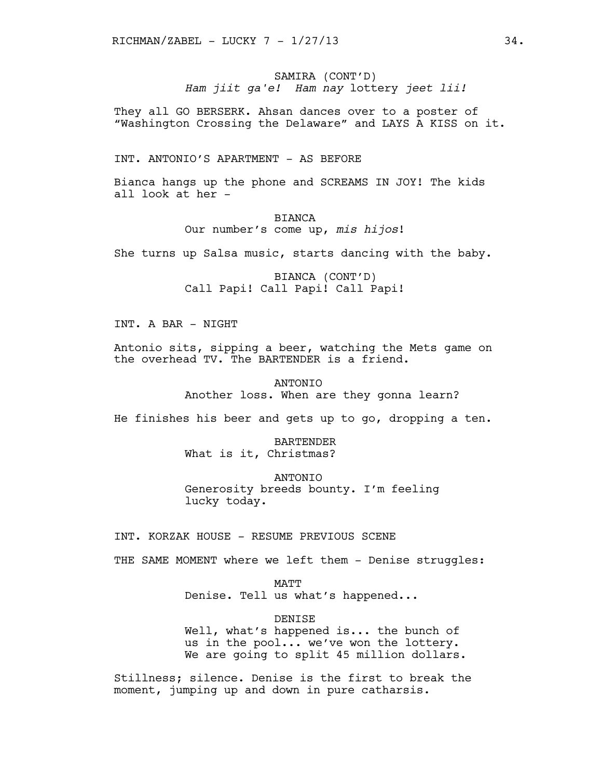SAMIRA (CONT'D) *Ham jiit ga'e! Ham nay* lottery *jeet lii!*

They all GO BERSERK. Ahsan dances over to a poster of "Washington Crossing the Delaware" and LAYS A KISS on it.

INT. ANTONIO'S APARTMENT - AS BEFORE

Bianca hangs up the phone and SCREAMS IN JOY! The kids all look at her -

> BIANCA Our number's come up, *mis hijos*!

She turns up Salsa music, starts dancing with the baby.

BIANCA (CONT'D) Call Papi! Call Papi! Call Papi!

INT. A BAR - NIGHT

Antonio sits, sipping a beer, watching the Mets game on the overhead TV. The BARTENDER is a friend.

> ANTONIO Another loss. When are they gonna learn?

He finishes his beer and gets up to go, dropping a ten.

BARTENDER What is it, Christmas?

ANTONIO Generosity breeds bounty. I'm feeling lucky today.

INT. KORZAK HOUSE - RESUME PREVIOUS SCENE

THE SAME MOMENT where we left them - Denise struggles:

MATT Denise. Tell us what's happened...

**DENTSE** Well, what's happened is... the bunch of us in the pool... we've won the lottery. We are going to split 45 million dollars.

Stillness; silence. Denise is the first to break the moment, jumping up and down in pure catharsis.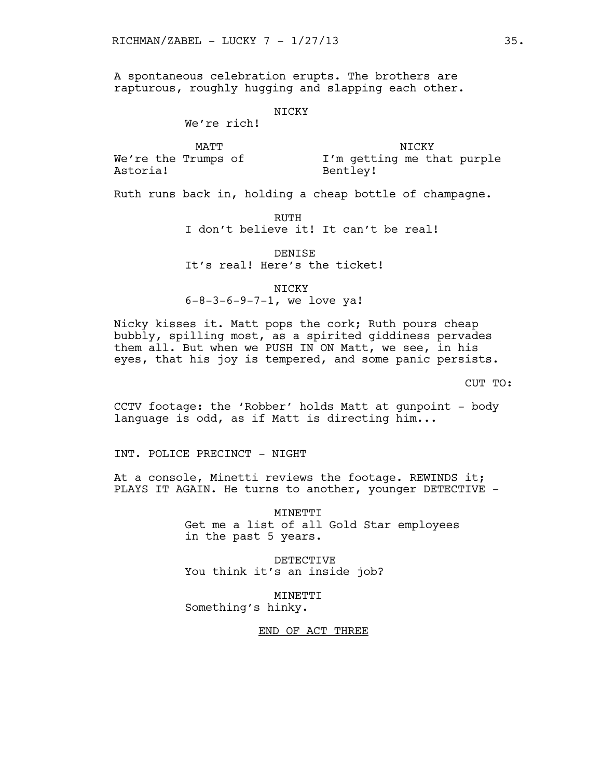A spontaneous celebration erupts. The brothers are rapturous, roughly hugging and slapping each other.

## NICKY

We're rich!

We're the Trumps of Astoria!

MATT NICKY NICKY I'm getting me that purple Bentley!

Ruth runs back in, holding a cheap bottle of champagne.

RUTH

I don't believe it! It can't be real!

DENISE It's real! Here's the ticket!

NICKY 6-8-3-6-9-7-1, we love ya!

Nicky kisses it. Matt pops the cork; Ruth pours cheap bubbly, spilling most, as a spirited giddiness pervades them all. But when we PUSH IN ON Matt, we see, in his eyes, that his joy is tempered, and some panic persists.

CUT TO:

CCTV footage: the 'Robber' holds Matt at gunpoint - body language is odd, as if Matt is directing him...

INT. POLICE PRECINCT - NIGHT

At a console, Minetti reviews the footage. REWINDS it; PLAYS IT AGAIN. He turns to another, younger DETECTIVE -

> MINETTI Get me a list of all Gold Star employees in the past 5 years.

DETECTIVE You think it's an inside job?

MINETTI Something's hinky.

END OF ACT THREE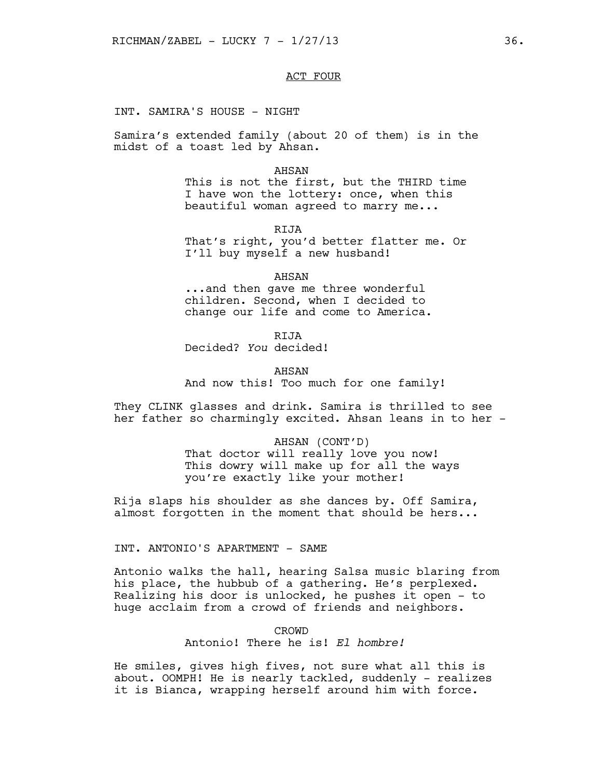## ACT FOUR

INT. SAMIRA'S HOUSE - NIGHT

Samira's extended family (about 20 of them) is in the midst of a toast led by Ahsan.

#### AHSAN

This is not the first, but the THIRD time I have won the lottery: once, when this beautiful woman agreed to marry me...

RIJA That's right, you'd better flatter me. Or I'll buy myself a new husband!

AHSAN ...and then gave me three wonderful children. Second, when I decided to change our life and come to America.

RIJA Decided? *You* decided!

AHSAN And now this! Too much for one family!

They CLINK glasses and drink. Samira is thrilled to see her father so charmingly excited. Ahsan leans in to her -

> AHSAN (CONT'D) That doctor will really love you now! This dowry will make up for all the ways you're exactly like your mother!

Rija slaps his shoulder as she dances by. Off Samira, almost forgotten in the moment that should be hers...

INT. ANTONIO'S APARTMENT - SAME

Antonio walks the hall, hearing Salsa music blaring from his place, the hubbub of a gathering. He's perplexed. Realizing his door is unlocked, he pushes it open - to huge acclaim from a crowd of friends and neighbors.

> CROWD Antonio! There he is! *El hombre!*

He smiles, gives high fives, not sure what all this is about. OOMPH! He is nearly tackled, suddenly - realizes it is Bianca, wrapping herself around him with force.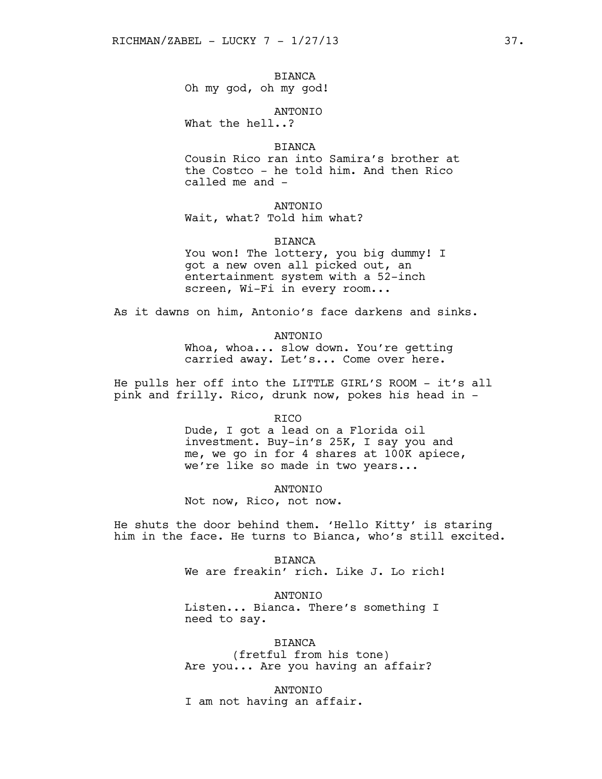BIANCA Oh my god, oh my god!

ANTONIO What the hell..?

BIANCA

Cousin Rico ran into Samira's brother at the Costco - he told him. And then Rico called me and -

## ANTONIO

Wait, what? Told him what?

#### BIANCA

You won! The lottery, you big dummy! I got a new oven all picked out, an entertainment system with a 52-inch screen, Wi-Fi in every room...

As it dawns on him, Antonio's face darkens and sinks.

ANTONIO

Whoa, whoa... slow down. You're getting carried away. Let's... Come over here.

He pulls her off into the LITTLE GIRL'S ROOM - it's all pink and frilly. Rico, drunk now, pokes his head in -

RICO

Dude, I got a lead on a Florida oil investment. Buy-in's 25K, I say you and me, we go in for 4 shares at 100K apiece, we're like so made in two years...

ANTONIO

Not now, Rico, not now.

He shuts the door behind them. 'Hello Kitty' is staring him in the face. He turns to Bianca, who's still excited.

> BIANCA We are freakin' rich. Like J. Lo rich!

ANTONIO Listen... Bianca. There's something I need to say.

BIANCA (fretful from his tone) Are you... Are you having an affair?

ANTONIO I am not having an affair.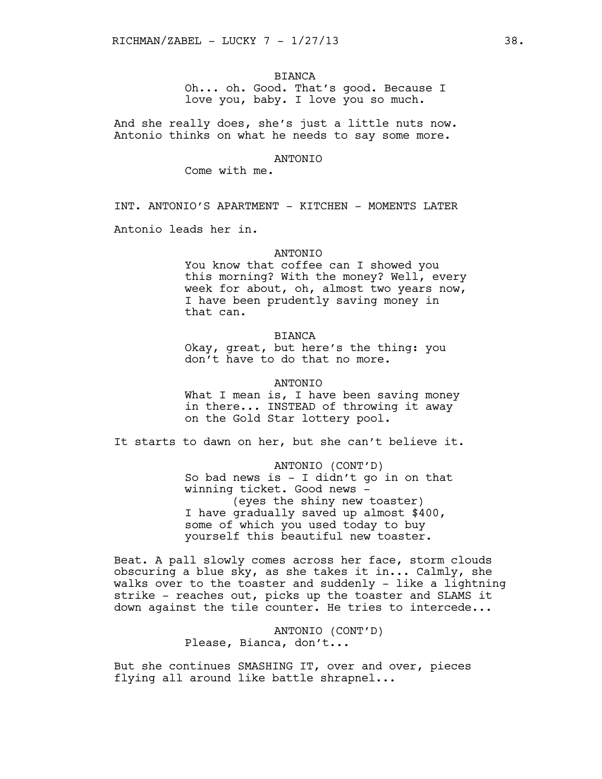## BIANCA

Oh... oh. Good. That's good. Because I love you, baby. I love you so much.

And she really does, she's just a little nuts now. Antonio thinks on what he needs to say some more.

#### ANTONIO

Come with me.

INT. ANTONIO'S APARTMENT - KITCHEN - MOMENTS LATER

Antonio leads her in.

### **ANTONIO**

You know that coffee can I showed you this morning? With the money? Well, every week for about, oh, almost two years now, I have been prudently saving money in that can.

## BIANCA

Okay, great, but here's the thing: you don't have to do that no more.

#### ANTONIO

What I mean is, I have been saving money in there... INSTEAD of throwing it away on the Gold Star lottery pool.

It starts to dawn on her, but she can't believe it.

ANTONIO (CONT'D) So bad news is  $-$  I didn't go in on that winning ticket. Good news - (eyes the shiny new toaster) I have gradually saved up almost \$400, some of which you used today to buy yourself this beautiful new toaster.

Beat. A pall slowly comes across her face, storm clouds obscuring a blue sky, as she takes it in... Calmly, she walks over to the toaster and suddenly - like a lightning strike - reaches out, picks up the toaster and SLAMS it down against the tile counter. He tries to intercede...

> ANTONIO (CONT'D) Please, Bianca, don't...

But she continues SMASHING IT, over and over, pieces flying all around like battle shrapnel...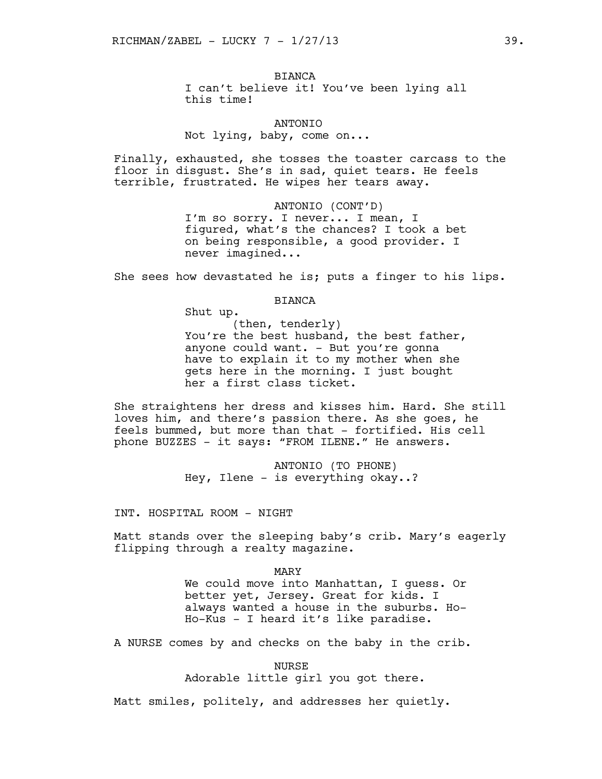## BIANCA

I can't believe it! You've been lying all this time!

ANTONIO Not lying, baby, come on...

Finally, exhausted, she tosses the toaster carcass to the floor in disgust. She's in sad, quiet tears. He feels terrible, frustrated. He wipes her tears away.

> ANTONIO (CONT'D) I'm so sorry. I never... I mean, I figured, what's the chances? I took a bet on being responsible, a good provider. I never imagined...

She sees how devastated he is; puts a finger to his lips.

## BIANCA

Shut up.

(then, tenderly) You're the best husband, the best father, anyone could want. - But you're gonna have to explain it to my mother when she gets here in the morning. I just bought her a first class ticket.

She straightens her dress and kisses him. Hard. She still loves him, and there's passion there. As she goes, he feels bummed, but more than that - fortified. His cell phone BUZZES - it says: "FROM ILENE." He answers.

> ANTONIO (TO PHONE) Hey, Ilene - is everything okay..?

INT. HOSPITAL ROOM - NIGHT

Matt stands over the sleeping baby's crib. Mary's eagerly flipping through a realty magazine.

> MARY We could move into Manhattan, I guess. Or better yet, Jersey. Great for kids. I always wanted a house in the suburbs. Ho-Ho-Kus - I heard it's like paradise.

A NURSE comes by and checks on the baby in the crib.

NURSE Adorable little girl you got there.

Matt smiles, politely, and addresses her quietly.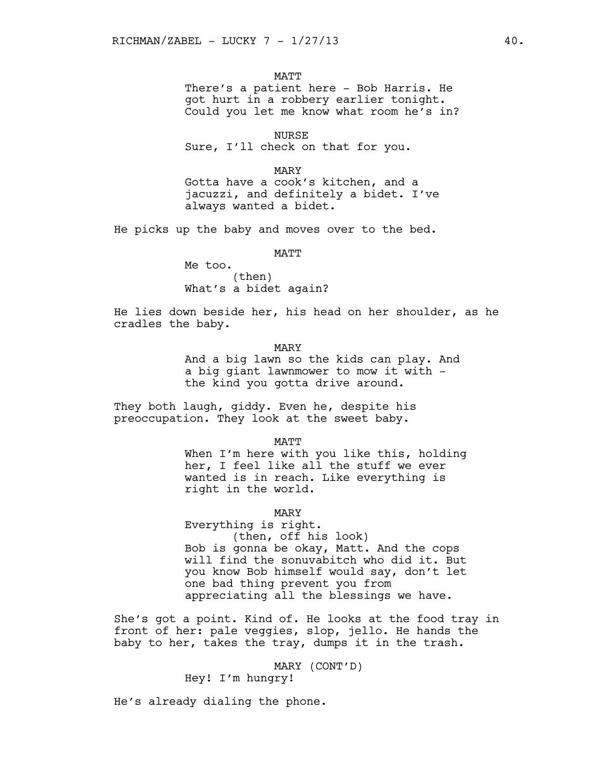MATT

There's a patient here - Bob Harris. He got hurt in a robbery earlier tonight. Could you let me know what room he's in?

NURSE Sure, I'll check on that for you.

MARY

Gotta have a cook's kitchen, and a jacuzzi, and definitely a bidet. I've always wanted a bidet.

He picks up the baby and moves over to the bed.

**MATT** 

Me too. (then) What's a bidet again?

He lies down beside her, his head on her shoulder, as he cradles the baby.

MARY

And a big lawn so the kids can play. And a big giant lawnmower to mow it with the kind you gotta drive around.

They both laugh, giddy. Even he, despite his preoccupation. They look at the sweet baby.

MATT

When I'm here with you like this, holding her, I feel like all the stuff we ever wanted is in reach. Like everything is right in the world.

MARY

Everything is right. (then, off his look) Bob is gonna be okay, Matt. And the cops will find the sonuvabitch who did it. But you know Bob himself would say, don't let one bad thing prevent you from appreciating all the blessings we have.

She's got a point. Kind of. He looks at the food tray in front of her: pale veggies, slop, jello. He hands the baby to her, takes the tray, dumps it in the trash.

> MARY (CONT'D) Hey! I'm hungry!

He's already dialing the phone.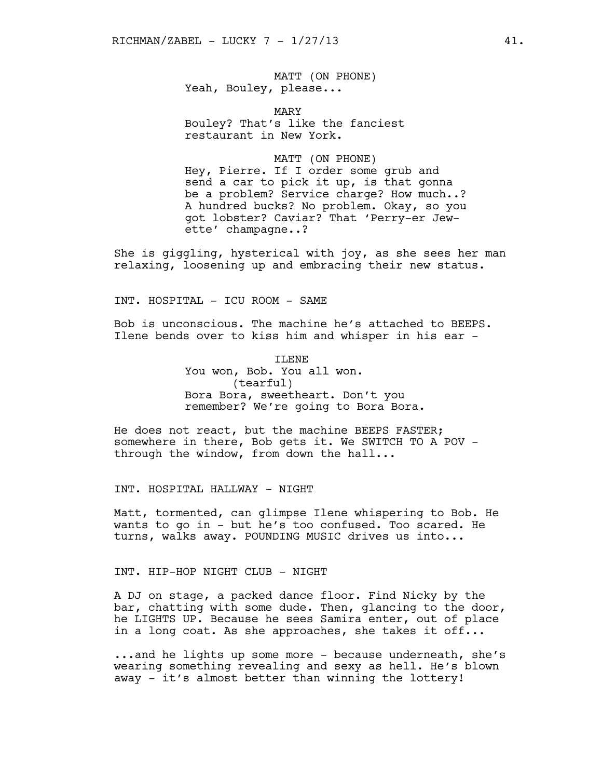MATT (ON PHONE) Yeah, Bouley, please...

MARY Bouley? That's like the fanciest restaurant in New York.

#### MATT (ON PHONE)

Hey, Pierre. If I order some grub and send a car to pick it up, is that gonna be a problem? Service charge? How much..? A hundred bucks? No problem. Okay, so you got lobster? Caviar? That 'Perry-er Jewette' champagne..?

She is giggling, hysterical with joy, as she sees her man relaxing, loosening up and embracing their new status.

INT. HOSPITAL - ICU ROOM - SAME

Bob is unconscious. The machine he's attached to BEEPS. Ilene bends over to kiss him and whisper in his ear -

> ILENE You won, Bob. You all won. (tearful) Bora Bora, sweetheart. Don't you remember? We're going to Bora Bora.

He does not react, but the machine BEEPS FASTER; somewhere in there, Bob gets it. We SWITCH TO A POV through the window, from down the hall...

INT. HOSPITAL HALLWAY - NIGHT

Matt, tormented, can glimpse Ilene whispering to Bob. He wants to go in - but he's too confused. Too scared. He turns, walks away. POUNDING MUSIC drives us into...

INT. HIP-HOP NIGHT CLUB - NIGHT

A DJ on stage, a packed dance floor. Find Nicky by the bar, chatting with some dude. Then, glancing to the door, he LIGHTS UP. Because he sees Samira enter, out of place in a long coat. As she approaches, she takes it off...

...and he lights up some more - because underneath, she's wearing something revealing and sexy as hell. He's blown away - it's almost better than winning the lottery!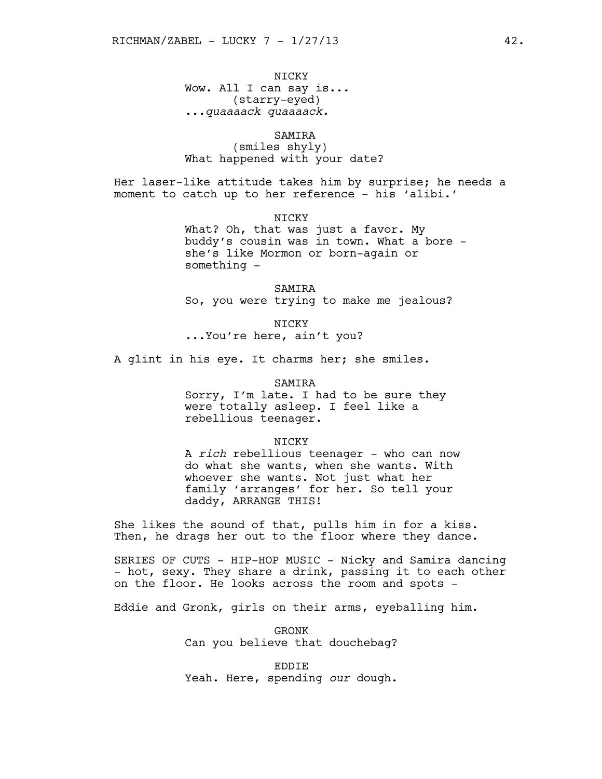NICKY Wow. All I can say is... (starry-eyed) ...*quaaaack quaaaack*.

# SAMIRA

(smiles shyly) What happened with your date?

Her laser-like attitude takes him by surprise; he needs a moment to catch up to her reference - his 'alibi.'

> NICKY What? Oh, that was just a favor. My buddy's cousin was in town. What a bore she's like Mormon or born-again or something -

SAMIRA So, you were trying to make me jealous?

NICKY ...You're here, ain't you?

A glint in his eye. It charms her; she smiles.

#### SAMIRA

Sorry, I'm late. I had to be sure they were totally asleep. I feel like a rebellious teenager.

#### NICKY

A *rich* rebellious teenager - who can now do what she wants, when she wants. With whoever she wants. Not just what her family 'arranges' for her. So tell your daddy, ARRANGE THIS!

She likes the sound of that, pulls him in for a kiss. Then, he drags her out to the floor where they dance.

SERIES OF CUTS - HIP-HOP MUSIC - Nicky and Samira dancing - hot, sexy. They share a drink, passing it to each other on the floor. He looks across the room and spots -

Eddie and Gronk, girls on their arms, eyeballing him.

GRONK Can you believe that douchebag?

EDDIE Yeah. Here, spending *our* dough.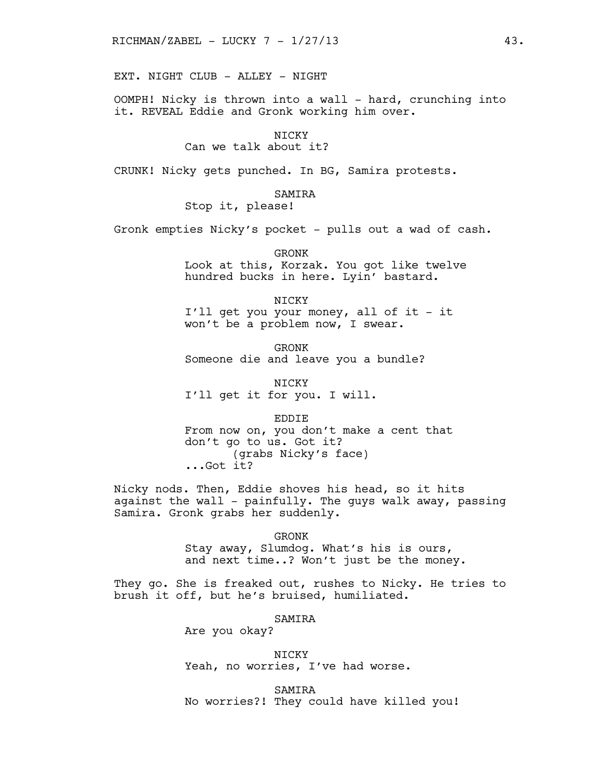EXT. NIGHT CLUB - ALLEY - NIGHT

OOMPH! Nicky is thrown into a wall - hard, crunching into it. REVEAL Eddie and Gronk working him over.

NICKY

Can we talk about it?

CRUNK! Nicky gets punched. In BG, Samira protests.

SAMIRA

Stop it, please!

Gronk empties Nicky's pocket - pulls out a wad of cash.

GRONK Look at this, Korzak. You got like twelve hundred bucks in here. Lyin' bastard.

NICKY I'll get you your money, all of it - it won't be a problem now, I swear.

GRONK Someone die and leave you a bundle?

NICKY I'll get it for you. I will.

EDDIE

From now on, you don't make a cent that don't go to us. Got it? (grabs Nicky's face) ...Got it?

Nicky nods. Then, Eddie shoves his head, so it hits against the wall - painfully. The guys walk away, passing Samira. Gronk grabs her suddenly.

GRONK

Stay away, Slumdog. What's his is ours, and next time..? Won't just be the money.

They go. She is freaked out, rushes to Nicky. He tries to brush it off, but he's bruised, humiliated.

SAMIRA

Are you okay?

NICKY Yeah, no worries, I've had worse.

SAMIRA No worries?! They could have killed you!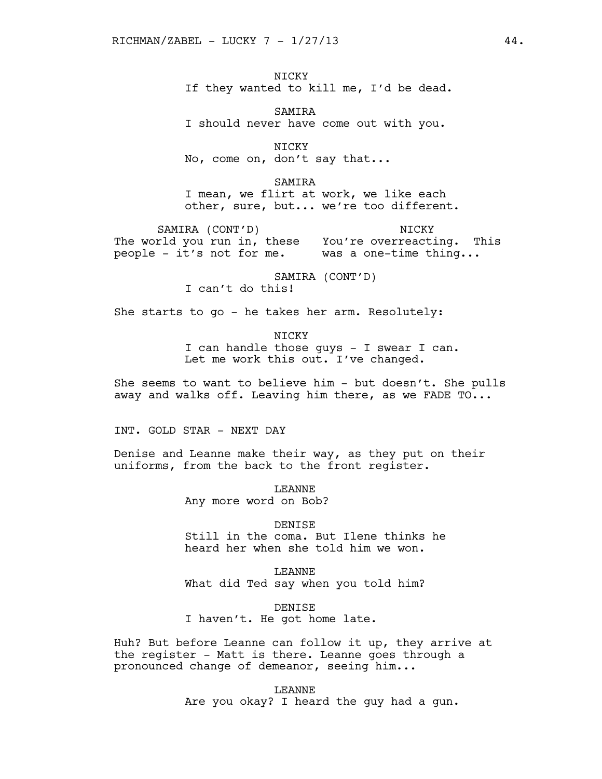NICKY If they wanted to kill me, I'd be dead.

SAMIRA I should never have come out with you.

NICKY No, come on, don't say that...

SAMIRA I mean, we flirt at work, we like each other, sure, but... we're too different.

SAMIRA (CONT'D) The world you run in, these You're overreacting. This people - it's not for me. Was a one-time thing... NICKY THE STREET WAS SERVED ON THE STREET OF THE STREET OF THE STREET OF THE STREET OF THE STREET OF THE STREET

> SAMIRA (CONT'D) I can't do this!

She starts to go - he takes her arm. Resolutely:

NICKY I can handle those guys - I swear I can. Let me work this out. I've changed.

She seems to want to believe him - but doesn't. She pulls away and walks off. Leaving him there, as we FADE TO...

INT. GOLD STAR - NEXT DAY

Denise and Leanne make their way, as they put on their uniforms, from the back to the front register.

> LEANNE Any more word on Bob?

DENISE Still in the coma. But Ilene thinks he heard her when she told him we won.

LEANNE What did Ted say when you told him?

DENISE I haven't. He got home late.

Huh? But before Leanne can follow it up, they arrive at the register - Matt is there. Leanne goes through a pronounced change of demeanor, seeing him...

> LEANNE Are you okay? I heard the guy had a gun.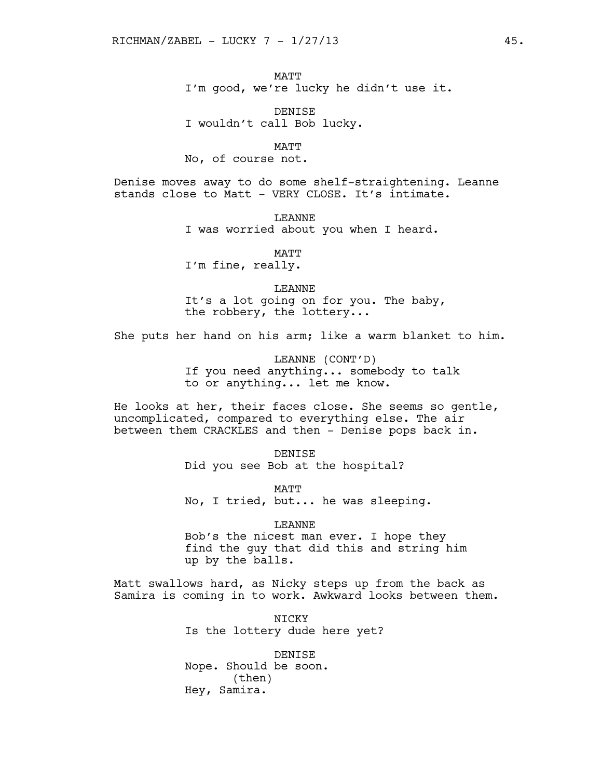MATT I'm good, we're lucky he didn't use it.

DENISE I wouldn't call Bob lucky.

MATT

No, of course not.

Denise moves away to do some shelf-straightening. Leanne stands close to Matt - VERY CLOSE. It's intimate.

> LEANNE I was worried about you when I heard.

> > **MATT**

I'm fine, really.

LEANNE

It's a lot going on for you. The baby, the robbery, the lottery...

She puts her hand on his arm; like a warm blanket to him.

LEANNE (CONT'D) If you need anything... somebody to talk to or anything... let me know.

He looks at her, their faces close. She seems so gentle, uncomplicated, compared to everything else. The air between them CRACKLES and then - Denise pops back in.

> DENISE Did you see Bob at the hospital?

MATT No, I tried, but... he was sleeping.

LEANNE

Bob's the nicest man ever. I hope they find the guy that did this and string him up by the balls.

Matt swallows hard, as Nicky steps up from the back as Samira is coming in to work. Awkward looks between them.

> NICKY Is the lottery dude here yet?

DENISE Nope. Should be soon. (then) Hey, Samira.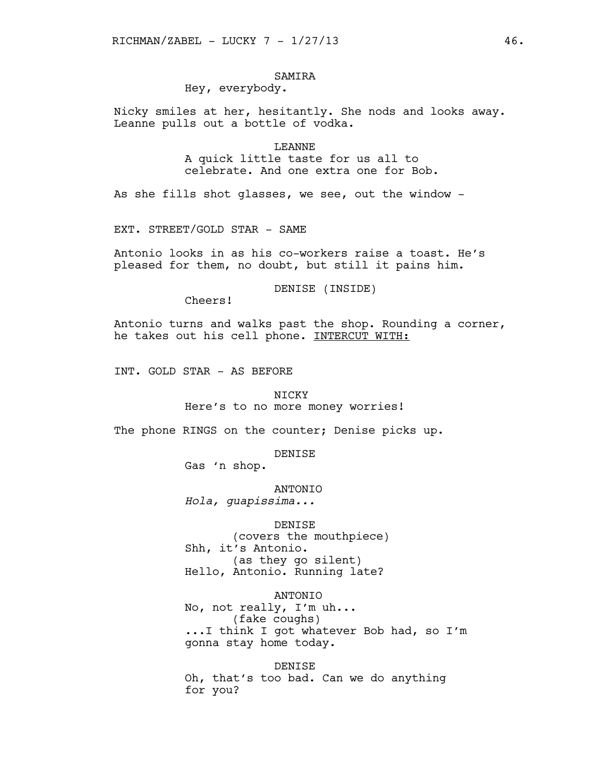# SAMIRA

# Hey, everybody.

Nicky smiles at her, hesitantly. She nods and looks away. Leanne pulls out a bottle of vodka.

> LEANNE A quick little taste for us all to celebrate. And one extra one for Bob.

As she fills shot glasses, we see, out the window -

EXT. STREET/GOLD STAR - SAME

Antonio looks in as his co-workers raise a toast. He's pleased for them, no doubt, but still it pains him.

DENISE (INSIDE)

Cheers!

Antonio turns and walks past the shop. Rounding a corner, he takes out his cell phone. INTERCUT WITH:

INT. GOLD STAR - AS BEFORE

## NICKY

Here's to no more money worries!

The phone RINGS on the counter; Denise picks up.

DENISE

Gas 'n shop.

ANTONIO

*Hola, guapissima...*

DENISE

(covers the mouthpiece) Shh, it's Antonio. (as they go silent) Hello, Antonio. Running late?

ANTONIO No, not really, I'm uh... (fake coughs) ...I think I got whatever Bob had, so I'm gonna stay home today.

DENISE Oh, that's too bad. Can we do anything for you?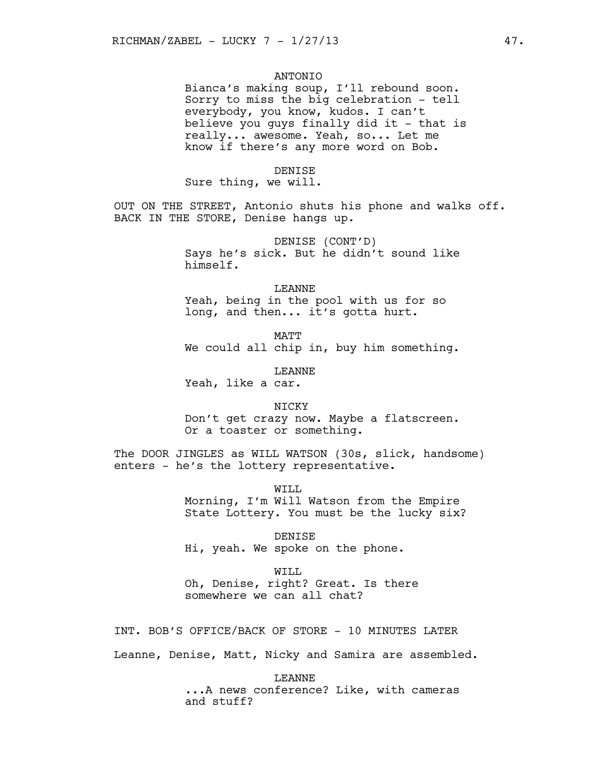## ANTONIO

Bianca's making soup, I'll rebound soon. Sorry to miss the big celebration - tell everybody, you know, kudos. I can't believe you guys finally did it - that is really... awesome. Yeah, so... Let me know if there's any more word on Bob.

#### DENISE

Sure thing, we will.

OUT ON THE STREET, Antonio shuts his phone and walks off. BACK IN THE STORE, Denise hangs up.

> DENISE (CONT'D) Says he's sick. But he didn't sound like himself.

#### LEANNE

Yeah, being in the pool with us for so long, and then... it's gotta hurt.

MATT We could all chip in, buy him something.

LEANNE

Yeah, like a car.

NICKY Don't get crazy now. Maybe a flatscreen. Or a toaster or something.

The DOOR JINGLES as WILL WATSON (30s, slick, handsome) enters - he's the lottery representative.

> WILL Morning, I'm Will Watson from the Empire State Lottery. You must be the lucky six?

DENISE Hi, yeah. We spoke on the phone.

WILL Oh, Denise, right? Great. Is there somewhere we can all chat?

INT. BOB'S OFFICE/BACK OF STORE - 10 MINUTES LATER

Leanne, Denise, Matt, Nicky and Samira are assembled.

LEANNE ...A news conference? Like, with cameras and stuff?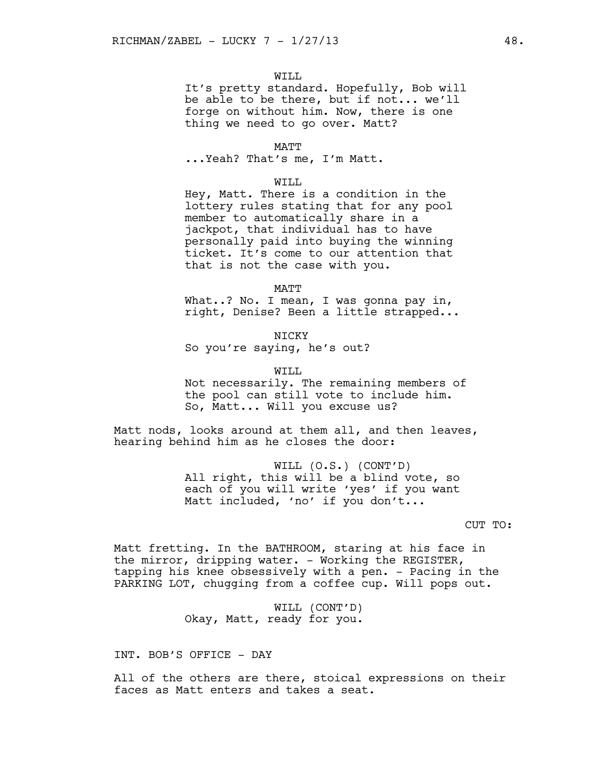## WILL

It's pretty standard. Hopefully, Bob will be able to be there, but if not... we'll forge on without him. Now, there is one thing we need to go over. Matt?

#### MATT

...Yeah? That's me, I'm Matt.

#### WILL

Hey, Matt. There is a condition in the lottery rules stating that for any pool member to automatically share in a jackpot, that individual has to have personally paid into buying the winning ticket. It's come to our attention that that is not the case with you.

MATT

What..? No. I mean, I was gonna pay in, right, Denise? Been a little strapped...

**NTCKY** So you're saying, he's out?

WILL

Not necessarily. The remaining members of the pool can still vote to include him. So, Matt... Will you excuse us?

Matt nods, looks around at them all, and then leaves, hearing behind him as he closes the door:

> WILL (O.S.) (CONT'D) All right, this will be a blind vote, so each of you will write 'yes' if you want Matt included, 'no' if you don't...

## CUT TO:

Matt fretting. In the BATHROOM, staring at his face in the mirror, dripping water. - Working the REGISTER, tapping his knee obsessively with a pen. - Pacing in the PARKING LOT, chugging from a coffee cup. Will pops out.

> WILL (CONT'D) Okay, Matt, ready for you.

INT. BOB'S OFFICE - DAY

All of the others are there, stoical expressions on their faces as Matt enters and takes a seat.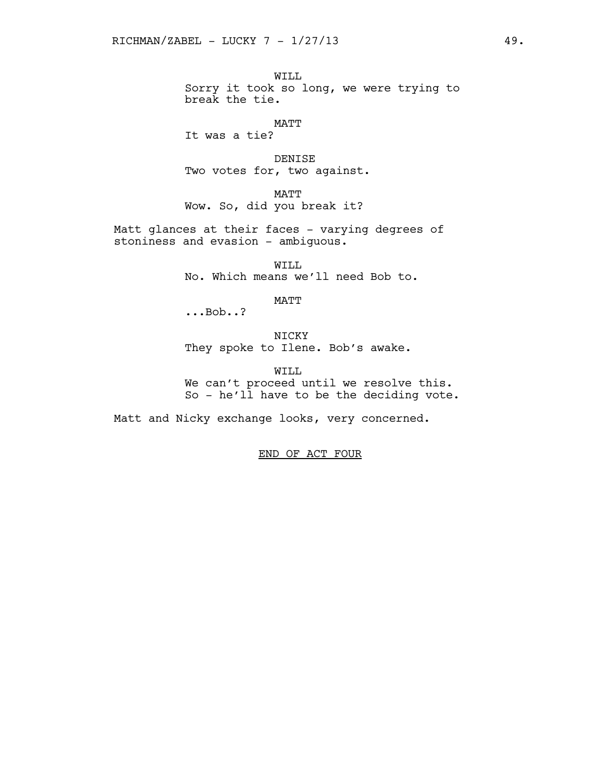WILL Sorry it took so long, we were trying to break the tie.

MATT

It was a tie?

DENISE Two votes for, two against.

MATT Wow. So, did you break it?

Matt glances at their faces - varying degrees of stoniness and evasion - ambiguous.

> WILL No. Which means we'll need Bob to.

> > MATT

...Bob..?

NICKY They spoke to Ilene. Bob's awake.

WILL We can't proceed until we resolve this. So - he'll have to be the deciding vote.

Matt and Nicky exchange looks, very concerned.

END OF ACT FOUR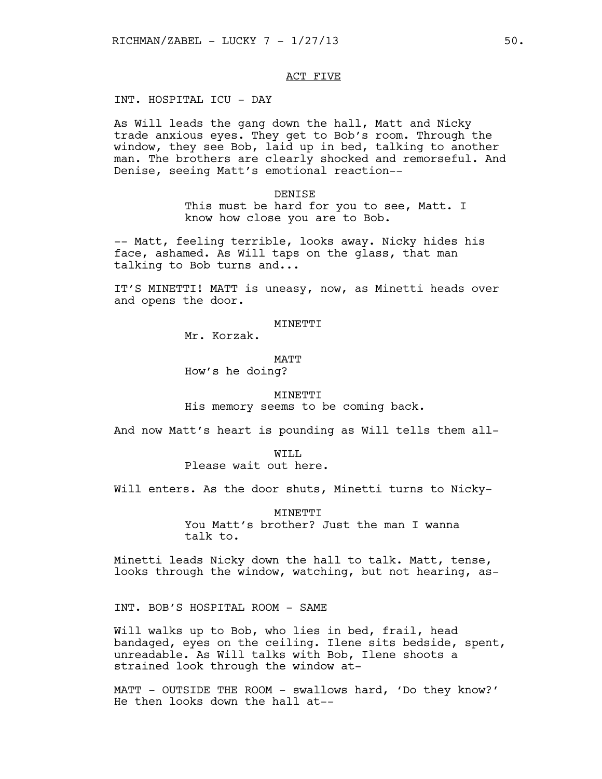## ACT FIVE

INT. HOSPITAL ICU - DAY

As Will leads the gang down the hall, Matt and Nicky trade anxious eyes. They get to Bob's room. Through the window, they see Bob, laid up in bed, talking to another man. The brothers are clearly shocked and remorseful. And Denise, seeing Matt's emotional reaction--

#### DENISE

This must be hard for you to see, Matt. I know how close you are to Bob.

-- Matt, feeling terrible, looks away. Nicky hides his face, ashamed. As Will taps on the glass, that man talking to Bob turns and...

IT'S MINETTI! MATT is uneasy, now, as Minetti heads over and opens the door.

MINETTI

Mr. Korzak.

MATT How's he doing?

## MINETTI

His memory seems to be coming back.

And now Matt's heart is pounding as Will tells them all-

#### WTT.T.

Please wait out here.

Will enters. As the door shuts, Minetti turns to Nicky-

**MINETTI** You Matt's brother? Just the man I wanna talk to.

Minetti leads Nicky down the hall to talk. Matt, tense, looks through the window, watching, but not hearing, as-

INT. BOB'S HOSPITAL ROOM - SAME

Will walks up to Bob, who lies in bed, frail, head bandaged, eyes on the ceiling. Ilene sits bedside, spent, unreadable. As Will talks with Bob, Ilene shoots a strained look through the window at-

MATT - OUTSIDE THE ROOM - swallows hard, 'Do they know?' He then looks down the hall at--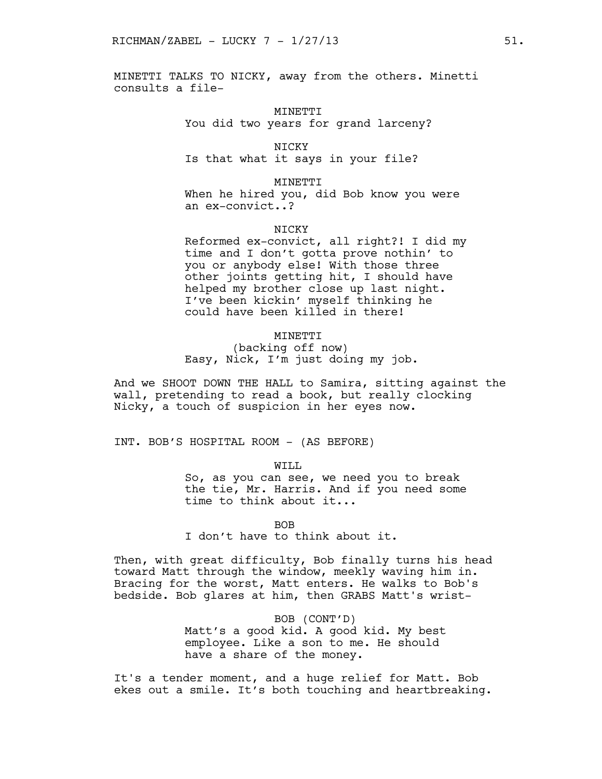MINETTI TALKS TO NICKY, away from the others. Minetti consults a file-

> MINETTI You did two years for grand larceny?

NICKY Is that what it says in your file?

MINETTI When he hired you, did Bob know you were an ex-convict..?

**NTCKY** 

Reformed ex-convict, all right?! I did my time and I don't gotta prove nothin' to you or anybody else! With those three other joints getting hit, I should have helped my brother close up last night. I've been kickin' myself thinking he could have been killed in there!

## MINETTI

(backing off now) Easy, Nick, I'm just doing my job.

And we SHOOT DOWN THE HALL to Samira, sitting against the wall, pretending to read a book, but really clocking Nicky, a touch of suspicion in her eyes now.

INT. BOB'S HOSPITAL ROOM - (AS BEFORE)

WILL

So, as you can see, we need you to break the tie, Mr. Harris. And if you need some time to think about it...

BOB

I don't have to think about it.

Then, with great difficulty, Bob finally turns his head toward Matt through the window, meekly waving him in. Bracing for the worst, Matt enters. He walks to Bob's bedside. Bob glares at him, then GRABS Matt's wrist-

> BOB (CONT'D) Matt's a good kid. A good kid. My best employee. Like a son to me. He should have a share of the money.

It's a tender moment, and a huge relief for Matt. Bob ekes out a smile. It's both touching and heartbreaking.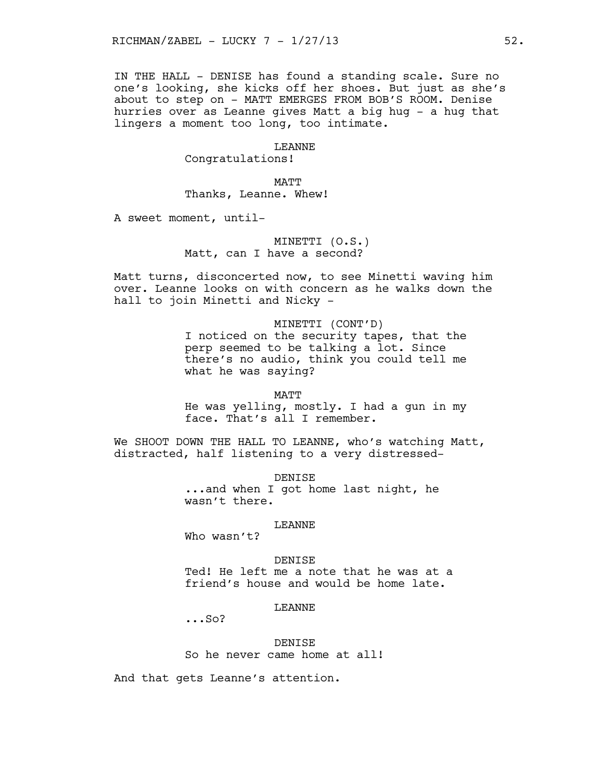IN THE HALL - DENISE has found a standing scale. Sure no one's looking, she kicks off her shoes. But just as she's about to step on - MATT EMERGES FROM BOB'S ROOM. Denise hurries over as Leanne gives Matt a big hug - a hug that lingers a moment too long, too intimate.

## LEANNE

Congratulations!

MATT Thanks, Leanne. Whew!

A sweet moment, until-

MINETTI (O.S.) Matt, can I have a second?

Matt turns, disconcerted now, to see Minetti waving him over. Leanne looks on with concern as he walks down the hall to join Minetti and Nicky -

## MINETTI (CONT'D)

I noticed on the security tapes, that the perp seemed to be talking a lot. Since there's no audio, think you could tell me what he was saying?

MATT

He was yelling, mostly. I had a gun in my face. That's all I remember.

We SHOOT DOWN THE HALL TO LEANNE, who's watching Matt, distracted, half listening to a very distressed-

> DENISE ...and when I got home last night, he wasn't there.

## LEANNE

Who wasn't?

#### DENISE

Ted! He left me a note that he was at a friend's house and would be home late.

## LEANNE

...So?

DENISE

So he never came home at all!

And that gets Leanne's attention.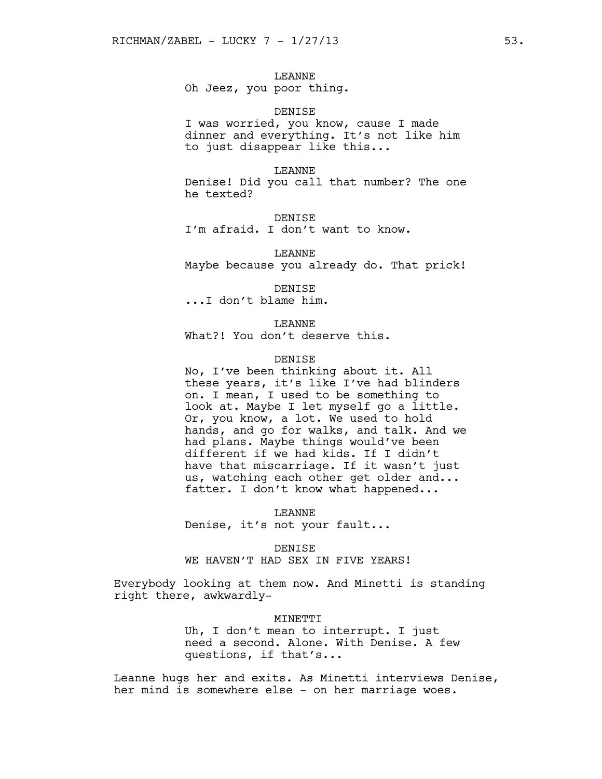# LEANNE

Oh Jeez, you poor thing.

### DENISE

I was worried, you know, cause I made dinner and everything. It's not like him to just disappear like this...

#### LEANNE

Denise! Did you call that number? The one he texted?

## DENISE

I'm afraid. I don't want to know.

LEANNE Maybe because you already do. That prick!

#### DENISE

...I don't blame him.

# LEANNE

What?! You don't deserve this.

## **DENTSE**

No, I've been thinking about it. All these years, it's like I've had blinders on. I mean, I used to be something to look at. Maybe I let myself go a little. Or, you know, a lot. We used to hold hands, and go for walks, and talk. And we had plans. Maybe things would've been different if we had kids. If I didn't have that miscarriage. If it wasn't just us, watching each other get older and... fatter. I don't know what happened...

LEANNE Denise, it's not your fault...

#### DENISE

WE HAVEN'T HAD SEX IN FIVE YEARS!

Everybody looking at them now. And Minetti is standing right there, awkwardly-

#### MINETTI

Uh, I don't mean to interrupt. I just need a second. Alone. With Denise. A few questions, if that's...

Leanne hugs her and exits. As Minetti interviews Denise, her mind is somewhere else - on her marriage woes.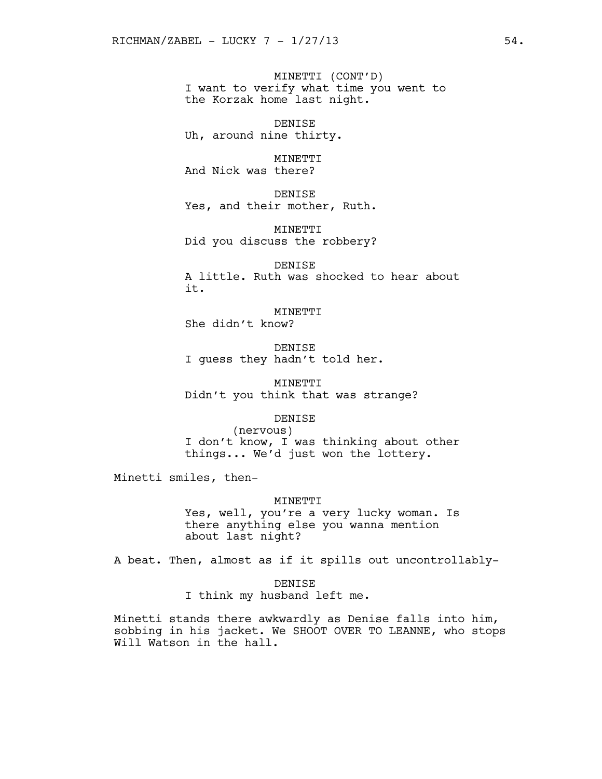MINETTI (CONT'D) I want to verify what time you went to the Korzak home last night.

DENISE Uh, around nine thirty.

MINETTI And Nick was there?

DENISE Yes, and their mother, Ruth.

MINETTI Did you discuss the robbery?

DENISE A little. Ruth was shocked to hear about it.

MINETTI She didn't know?

DENISE I guess they hadn't told her.

MINETTI Didn't you think that was strange?

**DENTSE** 

(nervous) I don't know, I was thinking about other things... We'd just won the lottery.

Minetti smiles, then-

#### MINETTI

Yes, well, you're a very lucky woman. Is there anything else you wanna mention about last night?

A beat. Then, almost as if it spills out uncontrollably-

DENISE I think my husband left me.

Minetti stands there awkwardly as Denise falls into him, sobbing in his jacket. We SHOOT OVER TO LEANNE, who stops Will Watson in the hall.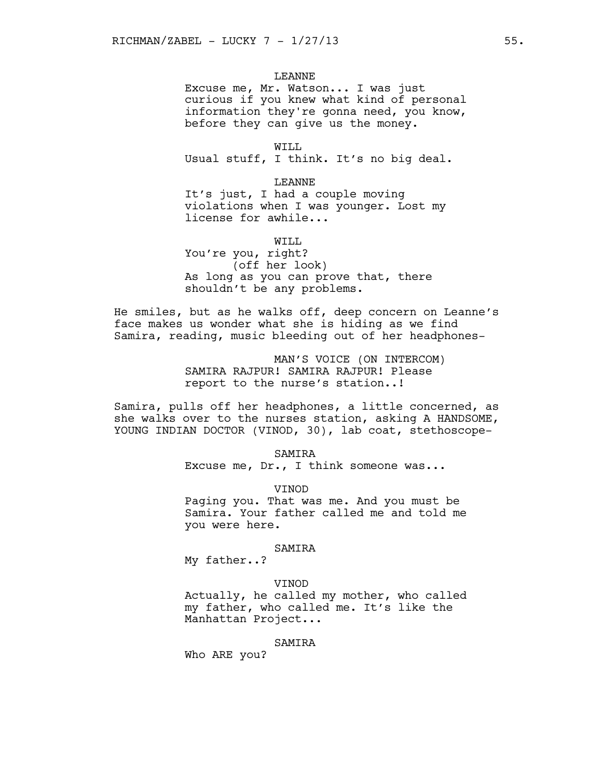## LEANNE

Excuse me, Mr. Watson... I was just curious if you knew what kind of personal information they're gonna need, you know, before they can give us the money.

WILL Usual stuff, I think. It's no big deal.

LEANNE

It's just, I had a couple moving violations when I was younger. Lost my license for awhile...

WTT.T. You're you, right? (off her look) As long as you can prove that, there shouldn't be any problems.

He smiles, but as he walks off, deep concern on Leanne's face makes us wonder what she is hiding as we find Samira, reading, music bleeding out of her headphones-

> MAN'S VOICE (ON INTERCOM) SAMIRA RAJPUR! SAMIRA RAJPUR! Please report to the nurse's station..!

Samira, pulls off her headphones, a little concerned, as she walks over to the nurses station, asking A HANDSOME, YOUNG INDIAN DOCTOR (VINOD, 30), lab coat, stethoscope-

> SAMIRA Excuse me, Dr., I think someone was...

**VINOD** Paging you. That was me. And you must be Samira. Your father called me and told me

# SAMIRA

My father..?

you were here.

# VINOD

Actually, he called my mother, who called my father, who called me. It's like the Manhattan Project...

## SAMIRA

Who ARE you?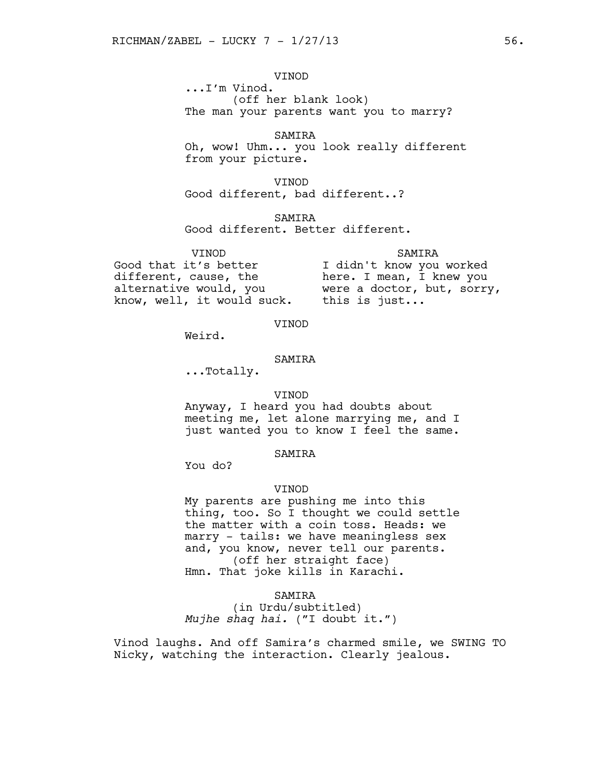VINOD

...I'm Vinod. (off her blank look) The man your parents want you to marry?

SAMIRA Oh, wow! Uhm... you look really different from your picture.

VINOD Good different, bad different..?

SAMIRA

Good different. Better different.

VINOD Good that it's better different, cause, the alternative would, you know, well, it would suck.

SAMIRA I didn't know you worked here. I mean, I knew you were a doctor, but, sorry, this is just...

VINOD

Weird.

## SAMIRA

...Totally.

#### VINOD

Anyway, I heard you had doubts about meeting me, let alone marrying me, and I just wanted you to know I feel the same.

### SAMIRA

You do?

### **VINOD**

My parents are pushing me into this thing, too. So I thought we could settle the matter with a coin toss. Heads: we marry - tails: we have meaningless sex and, you know, never tell our parents. (off her straight face) Hmn. That joke kills in Karachi.

## SAMIRA

(in Urdu/subtitled) *Mujhe shaq hai.* ("I doubt it.")

Vinod laughs. And off Samira's charmed smile, we SWING TO Nicky, watching the interaction. Clearly jealous.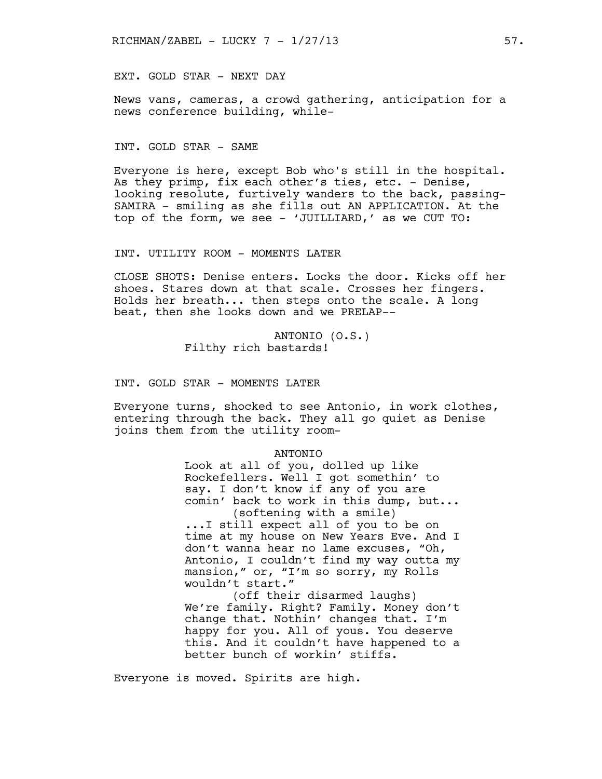EXT. GOLD STAR - NEXT DAY

News vans, cameras, a crowd gathering, anticipation for a news conference building, while-

INT. GOLD STAR - SAME

Everyone is here, except Bob who's still in the hospital. As they primp, fix each other's ties, etc. - Denise, looking resolute, furtively wanders to the back, passing-SAMIRA - smiling as she fills out AN APPLICATION. At the top of the form, we see - 'JUILLIARD,' as we CUT TO:

INT. UTILITY ROOM - MOMENTS LATER

CLOSE SHOTS: Denise enters. Locks the door. Kicks off her shoes. Stares down at that scale. Crosses her fingers. Holds her breath... then steps onto the scale. A long beat, then she looks down and we PRELAP--

> ANTONIO (O.S.) Filthy rich bastards!

INT. GOLD STAR - MOMENTS LATER

Everyone turns, shocked to see Antonio, in work clothes, entering through the back. They all go quiet as Denise joins them from the utility room-

#### ANTONIO

Look at all of you, dolled up like Rockefellers. Well I got somethin' to say. I don't know if any of you are comin' back to work in this dump, but... (softening with a smile)

...I still expect all of you to be on time at my house on New Years Eve. And I don't wanna hear no lame excuses, "Oh, Antonio, I couldn't find my way outta my mansion," or, "I'm so sorry, my Rolls wouldn't start."

(off their disarmed laughs) We're family. Right? Family. Money don't change that. Nothin' changes that. I'm happy for you. All of yous. You deserve this. And it couldn't have happened to a better bunch of workin' stiffs.

Everyone is moved. Spirits are high.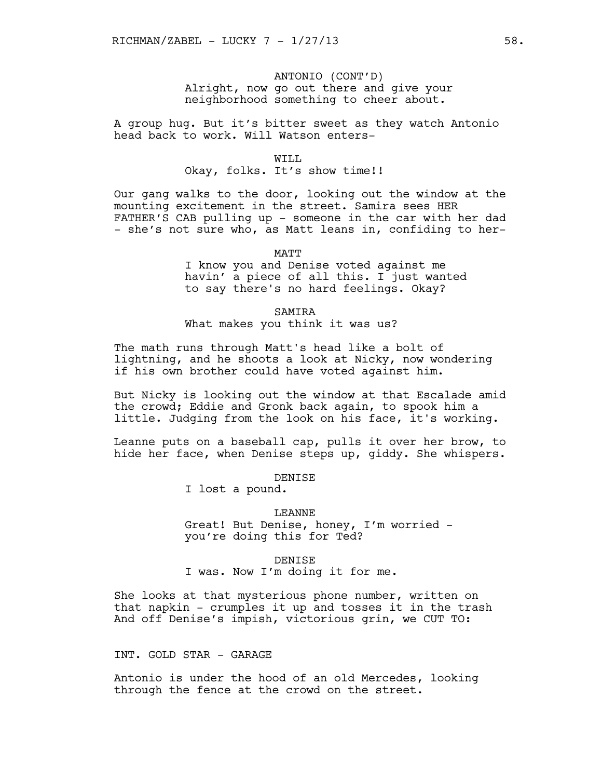# ANTONIO (CONT'D) Alright, now go out there and give your neighborhood something to cheer about.

A group hug. But it's bitter sweet as they watch Antonio head back to work. Will Watson enters-

#### WTT.T.

# Okay, folks. It's show time!!

Our gang walks to the door, looking out the window at the mounting excitement in the street. Samira sees HER FATHER'S CAB pulling up - someone in the car with her dad - she's not sure who, as Matt leans in, confiding to her-

MATT

I know you and Denise voted against me havin' a piece of all this. I just wanted to say there's no hard feelings. Okay?

# **SAMTRA**

What makes you think it was us?

The math runs through Matt's head like a bolt of lightning, and he shoots a look at Nicky, now wondering if his own brother could have voted against him.

But Nicky is looking out the window at that Escalade amid the crowd; Eddie and Gronk back again, to spook him a little. Judging from the look on his face, it's working.

Leanne puts on a baseball cap, pulls it over her brow, to hide her face, when Denise steps up, giddy. She whispers.

### DENISE

I lost a pound.

## LEANNE

Great! But Denise, honey, I'm worried you're doing this for Ted?

#### DENISE

I was. Now I'm doing it for me.

She looks at that mysterious phone number, written on that napkin - crumples it up and tosses it in the trash And off Denise's impish, victorious grin, we CUT TO:

## INT. GOLD STAR - GARAGE

Antonio is under the hood of an old Mercedes, looking through the fence at the crowd on the street.